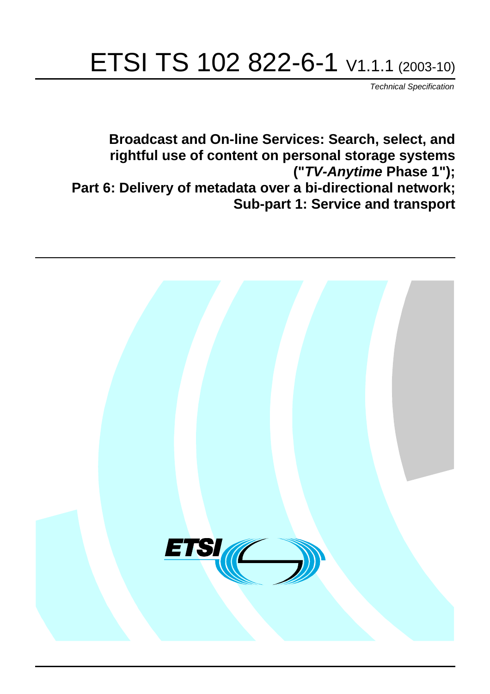# ETSI TS 102 822-6-1 V1.1.1 (2003-10)

Technical Specification

**Broadcast and On-line Services: Search, select, and rightful use of content on personal storage systems ("TV-Anytime Phase 1"); Part 6: Delivery of metadata over a bi-directional network; Sub-part 1: Service and transport**

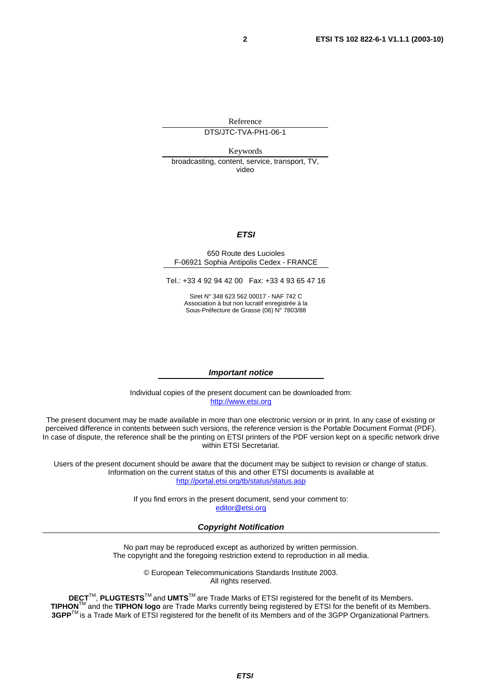Reference

DTS/JTC-TVA-PH1-06-1

Keywords

broadcasting, content, service, transport, TV, video

#### **ETSI**

#### 650 Route des Lucioles F-06921 Sophia Antipolis Cedex - FRANCE

Tel.: +33 4 92 94 42 00 Fax: +33 4 93 65 47 16

Siret N° 348 623 562 00017 - NAF 742 C Association à but non lucratif enregistrée à la Sous-Préfecture de Grasse (06) N° 7803/88

#### **Important notice**

Individual copies of the present document can be downloaded from: [http://www.etsi.org](http://www.etsi.org/)

The present document may be made available in more than one electronic version or in print. In any case of existing or perceived difference in contents between such versions, the reference version is the Portable Document Format (PDF). In case of dispute, the reference shall be the printing on ETSI printers of the PDF version kept on a specific network drive within ETSI Secretariat.

Users of the present document should be aware that the document may be subject to revision or change of status. Information on the current status of this and other ETSI documents is available at <http://portal.etsi.org/tb/status/status.asp>

> If you find errors in the present document, send your comment to: [editor@etsi.org](mailto:editor@etsi.org)

#### **Copyright Notification**

No part may be reproduced except as authorized by written permission. The copyright and the foregoing restriction extend to reproduction in all media.

> © European Telecommunications Standards Institute 2003. All rights reserved.

**DECT**TM, **PLUGTESTS**TM and **UMTS**TM are Trade Marks of ETSI registered for the benefit of its Members. **TIPHON**TM and the **TIPHON logo** are Trade Marks currently being registered by ETSI for the benefit of its Members. **3GPP**TM is a Trade Mark of ETSI registered for the benefit of its Members and of the 3GPP Organizational Partners.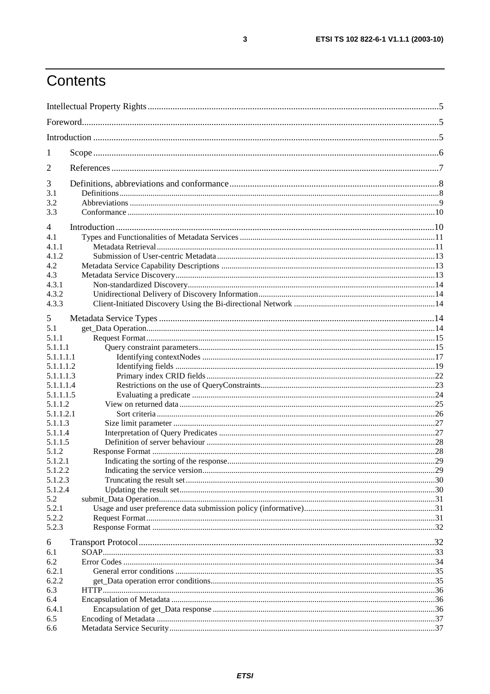## Contents

| 1                  |  |
|--------------------|--|
| 2                  |  |
| 3                  |  |
| 3.1                |  |
| 3.2                |  |
| 3.3                |  |
| $\overline{4}$     |  |
| 4.1                |  |
| 4.1.1              |  |
| 4.1.2              |  |
| 4.2                |  |
| 4.3                |  |
| 4.3.1<br>4.3.2     |  |
| 4.3.3              |  |
|                    |  |
| 5                  |  |
| 5.1                |  |
| 5.1.1              |  |
| 5.1.1.1            |  |
| 5.1.1.1.1          |  |
| 5.1.1.1.2          |  |
| 5.1.1.1.3          |  |
| 5.1.1.1.4          |  |
| 5.1.1.1.5          |  |
| 5.1.1.2            |  |
| 5.1.1.2.1          |  |
| 5.1.1.3            |  |
| 5.1.1.4            |  |
| 5.1.1.5            |  |
| 5.1.2              |  |
| 5.1.2.1<br>5.1.2.2 |  |
| 5.1.2.3            |  |
| 5.1.2.4            |  |
| 5.2                |  |
| 5.2.1              |  |
| 5.2.2              |  |
| 5.2.3              |  |
|                    |  |
| 6                  |  |
| 6.1                |  |
| 6.2                |  |
| 6.2.1              |  |
| 6.2.2              |  |
| 6.3<br>6.4         |  |
| 6.4.1              |  |
| 6.5                |  |
| 6.6                |  |
|                    |  |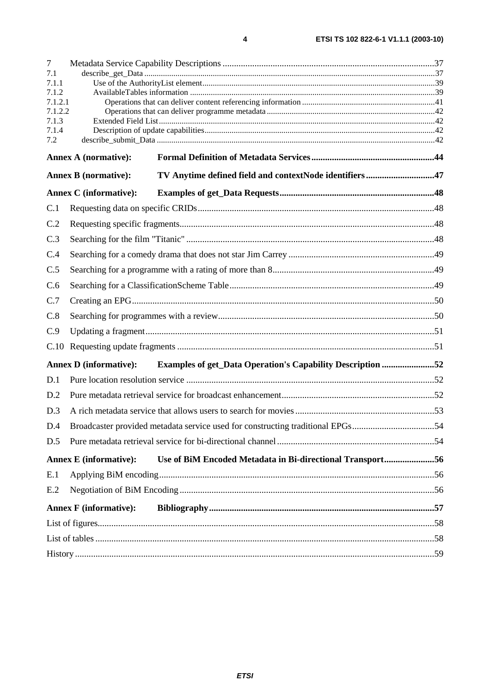| 7            |                               |                                                                                |  |
|--------------|-------------------------------|--------------------------------------------------------------------------------|--|
| 7.1<br>7.1.1 |                               |                                                                                |  |
| 7.1.2        |                               |                                                                                |  |
| 7.1.2.1      |                               |                                                                                |  |
| 7.1.2.2      |                               |                                                                                |  |
| 7.1.3        |                               |                                                                                |  |
| 7.1.4<br>7.2 |                               |                                                                                |  |
|              |                               |                                                                                |  |
|              | <b>Annex A (normative):</b>   |                                                                                |  |
|              | <b>Annex B</b> (normative):   | TV Anytime defined field and contextNode identifiers47                         |  |
|              | <b>Annex C</b> (informative): |                                                                                |  |
| C.1          |                               |                                                                                |  |
| C.2          |                               |                                                                                |  |
| C.3          |                               |                                                                                |  |
| C.4          |                               |                                                                                |  |
| C.5          |                               |                                                                                |  |
| C.6          |                               |                                                                                |  |
| C.7          |                               |                                                                                |  |
| C.8          |                               |                                                                                |  |
| C.9          |                               |                                                                                |  |
| C.10         |                               |                                                                                |  |
|              | <b>Annex D</b> (informative): | <b>Examples of get_Data Operation's Capability Description 52</b>              |  |
| D.1          |                               |                                                                                |  |
| D.2          |                               |                                                                                |  |
| D.3          |                               |                                                                                |  |
| D.4          |                               | Broadcaster provided metadata service used for constructing traditional EPGs54 |  |
| D.5          |                               |                                                                                |  |
|              | <b>Annex E</b> (informative): | Use of BiM Encoded Metadata in Bi-directional Transport56                      |  |
| E.1          |                               |                                                                                |  |
| E.2          |                               |                                                                                |  |
|              | <b>Annex F</b> (informative): |                                                                                |  |
|              |                               |                                                                                |  |
|              |                               |                                                                                |  |
|              |                               |                                                                                |  |

 $\overline{\mathbf{4}}$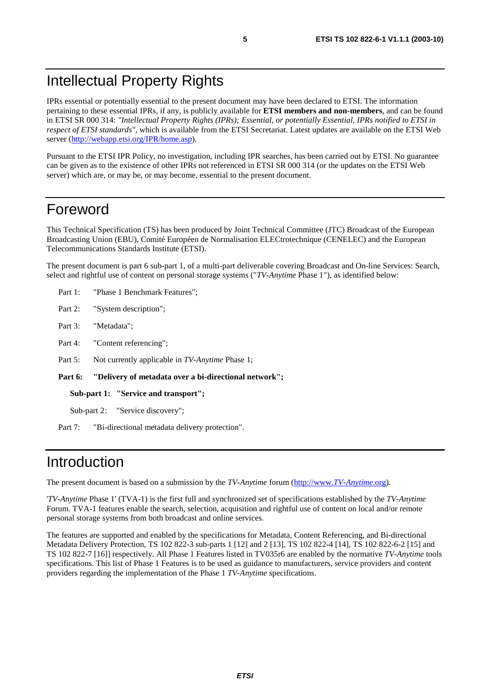## Intellectual Property Rights

IPRs essential or potentially essential to the present document may have been declared to ETSI. The information pertaining to these essential IPRs, if any, is publicly available for **ETSI members and non-members**, and can be found in ETSI SR 000 314: *"Intellectual Property Rights (IPRs); Essential, or potentially Essential, IPRs notified to ETSI in respect of ETSI standards"*, which is available from the ETSI Secretariat. Latest updates are available on the ETSI Web server ([http://webapp.etsi.org/IPR/home.asp\)](http://webapp.etsi.org/IPR/home.asp).

Pursuant to the ETSI IPR Policy, no investigation, including IPR searches, has been carried out by ETSI. No guarantee can be given as to the existence of other IPRs not referenced in ETSI SR 000 314 (or the updates on the ETSI Web server) which are, or may be, or may become, essential to the present document.

## Foreword

This Technical Specification (TS) has been produced by Joint Technical Committee (JTC) Broadcast of the European Broadcasting Union (EBU), Comité Européen de Normalisation ELECtrotechnique (CENELEC) and the European Telecommunications Standards Institute (ETSI).

The present document is part 6 sub-part 1, of a multi-part deliverable covering Broadcast and On-line Services: Search, select and rightful use of content on personal storage systems ("*TV-Anytime* Phase 1"), as identified below:

- Part 1: "Phase 1 Benchmark Features";
- Part 2: "System description";
- Part 3: "Metadata";
- Part 4: "Content referencing":
- Part 5: Not currently applicable in *TV-Anytime* Phase 1;

**Part 6: "Delivery of metadata over a bi-directional network";** 

**Sub-part 1: "Service and transport";** 

Sub-part 2: "Service discovery";

Part 7: "Bi-directional metadata delivery protection".

### Introduction

The present document is based on a submission by the *TV-Anytime* forum ([http://www.](http://www.tv-anytime.org/)*TV-Anytime*.org).

'*TV-Anytime* Phase 1' (TVA-1) is the first full and synchronized set of specifications established by the *TV-Anytime* Forum. TVA-1 features enable the search, selection, acquisition and rightful use of content on local and/or remote personal storage systems from both broadcast and online services.

The features are supported and enabled by the specifications for Metadata, Content Referencing, and Bi-directional Metadata Delivery Protection, TS 102 822-3 sub-parts 1 [12] and 2 [13], TS 102 822-4 [14], TS 102 822-6-2 [15] and TS 102 822-7 [16]] respectively. All Phase 1 Features listed in TV035r6 are enabled by the normative *TV-Anytime* tools specifications. This list of Phase 1 Features is to be used as guidance to manufacturers, service providers and content providers regarding the implementation of the Phase 1 *TV-Anytime* specifications.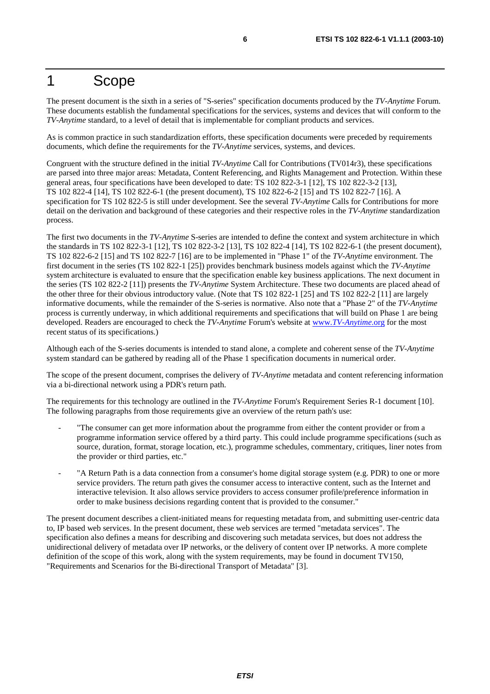### 1 Scope

The present document is the sixth in a series of "S-series" specification documents produced by the *TV-Anytime* Forum. These documents establish the fundamental specifications for the services, systems and devices that will conform to the *TV-Anytime* standard, to a level of detail that is implementable for compliant products and services.

As is common practice in such standardization efforts, these specification documents were preceded by requirements documents, which define the requirements for the *TV-Anytime* services, systems, and devices.

Congruent with the structure defined in the initial *TV-Anytime* Call for Contributions (TV014r3), these specifications are parsed into three major areas: Metadata, Content Referencing, and Rights Management and Protection. Within these general areas, four specifications have been developed to date: TS 102 822-3-1 [12], TS 102 822-3-2 [13], TS 102 822-4 [14], TS 102 822-6-1 (the present document), TS 102 822-6-2 [15] and TS 102 822-7 [16]. A specification for TS 102 822-5 is still under development. See the several *TV-Anytime* Calls for Contributions for more detail on the derivation and background of these categories and their respective roles in the *TV-Anytime* standardization process.

The first two documents in the *TV-Anytime* S-series are intended to define the context and system architecture in which the standards in TS 102 822-3-1 [12], TS 102 822-3-2 [13], TS 102 822-4 [14], TS 102 822-6-1 (the present document), TS 102 822-6-2 [15] and TS 102 822-7 [16] are to be implemented in "Phase 1" of the *TV-Anytime* environment. The first document in the series (TS 102 822-1 [25]) provides benchmark business models against which the *TV-Anytime* system architecture is evaluated to ensure that the specification enable key business applications. The next document in the series (TS 102 822-2 [11]) presents the *TV-Anytime* System Architecture. These two documents are placed ahead of the other three for their obvious introductory value. (Note that TS 102 822-1 [25] and TS 102 822-2 [11] are largely informative documents, while the remainder of the S-series is normative. Also note that a "Phase 2" of the *TV-Anytime* process is currently underway, in which additional requirements and specifications that will build on Phase 1 are being developed. Readers are encouraged to check the *TV-Anytime* Forum's website at www.*[TV-Anytime](http://www.tv-anytime.org/)*.org for the most recent status of its specifications.)

Although each of the S-series documents is intended to stand alone, a complete and coherent sense of the *TV-Anytime* system standard can be gathered by reading all of the Phase 1 specification documents in numerical order.

The scope of the present document, comprises the delivery of *TV-Anytime* metadata and content referencing information via a bi-directional network using a PDR's return path.

The requirements for this technology are outlined in the *TV-Anytime* Forum's Requirement Series R-1 document [10]. The following paragraphs from those requirements give an overview of the return path's use:

- "The consumer can get more information about the programme from either the content provider or from a programme information service offered by a third party. This could include programme specifications (such as source, duration, format, storage location, etc.), programme schedules, commentary, critiques, liner notes from the provider or third parties, etc."
- "A Return Path is a data connection from a consumer's home digital storage system (e.g. PDR) to one or more service providers. The return path gives the consumer access to interactive content, such as the Internet and interactive television. It also allows service providers to access consumer profile/preference information in order to make business decisions regarding content that is provided to the consumer."

The present document describes a client-initiated means for requesting metadata from, and submitting user-centric data to, IP based web services. In the present document, these web services are termed "metadata services". The specification also defines a means for describing and discovering such metadata services, but does not address the unidirectional delivery of metadata over IP networks, or the delivery of content over IP networks. A more complete definition of the scope of this work, along with the system requirements, may be found in document TV150, "Requirements and Scenarios for the Bi-directional Transport of Metadata" [3].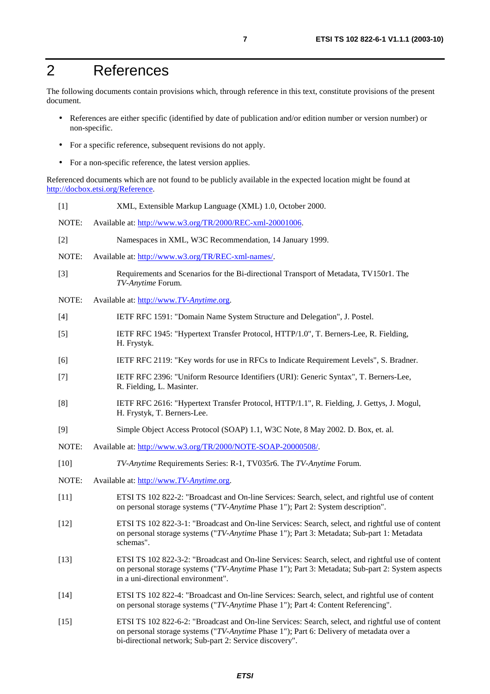## 2 References

The following documents contain provisions which, through reference in this text, constitute provisions of the present document.

- References are either specific (identified by date of publication and/or edition number or version number) or non-specific.
- For a specific reference, subsequent revisions do not apply.
- For a non-specific reference, the latest version applies.

Referenced documents which are not found to be publicly available in the expected location might be found at <http://docbox.etsi.org/Reference>.

| $[1]$  | XML, Extensible Markup Language (XML) 1.0, October 2000.                                                                                                                                                                                                |
|--------|---------------------------------------------------------------------------------------------------------------------------------------------------------------------------------------------------------------------------------------------------------|
| NOTE:  | Available at: http://www.w3.org/TR/2000/REC-xml-20001006.                                                                                                                                                                                               |
| $[2]$  | Namespaces in XML, W3C Recommendation, 14 January 1999.                                                                                                                                                                                                 |
| NOTE:  | Available at: http://www.w3.org/TR/REC-xml-names/.                                                                                                                                                                                                      |
| $[3]$  | Requirements and Scenarios for the Bi-directional Transport of Metadata, TV150r1. The<br>TV-Anytime Forum.                                                                                                                                              |
| NOTE:  | Available at: http://www.TV-Anytime.org.                                                                                                                                                                                                                |
| $[4]$  | IETF RFC 1591: "Domain Name System Structure and Delegation", J. Postel.                                                                                                                                                                                |
| $[5]$  | IETF RFC 1945: "Hypertext Transfer Protocol, HTTP/1.0", T. Berners-Lee, R. Fielding,<br>H. Frystyk.                                                                                                                                                     |
| [6]    | IETF RFC 2119: "Key words for use in RFCs to Indicate Requirement Levels", S. Bradner.                                                                                                                                                                  |
| $[7]$  | IETF RFC 2396: "Uniform Resource Identifiers (URI): Generic Syntax", T. Berners-Lee,<br>R. Fielding, L. Masinter.                                                                                                                                       |
| [8]    | IETF RFC 2616: "Hypertext Transfer Protocol, HTTP/1.1", R. Fielding, J. Gettys, J. Mogul,<br>H. Frystyk, T. Berners-Lee.                                                                                                                                |
| [9]    | Simple Object Access Protocol (SOAP) 1.1, W3C Note, 8 May 2002. D. Box, et. al.                                                                                                                                                                         |
| NOTE:  | Available at: http://www.w3.org/TR/2000/NOTE-SOAP-20000508/.                                                                                                                                                                                            |
| $[10]$ | TV-Anytime Requirements Series: R-1, TV035r6. The TV-Anytime Forum.                                                                                                                                                                                     |
| NOTE:  | Available at: http://www.TV-Anytime.org.                                                                                                                                                                                                                |
| $[11]$ | ETSI TS 102 822-2: "Broadcast and On-line Services: Search, select, and rightful use of content<br>on personal storage systems ("TV-Anytime Phase 1"); Part 2: System description".                                                                     |
| $[12]$ | ETSI TS 102 822-3-1: "Broadcast and On-line Services: Search, select, and rightful use of content<br>on personal storage systems ("TV-Anytime Phase 1"); Part 3: Metadata; Sub-part 1: Metadata<br>schemas".                                            |
| $[13]$ | ETSI TS 102 822-3-2: "Broadcast and On-line Services: Search, select, and rightful use of content<br>on personal storage systems ("TV-Anytime Phase 1"); Part 3: Metadata; Sub-part 2: System aspects<br>in a uni-directional environment".             |
| $[14]$ | ETSI TS 102 822-4: "Broadcast and On-line Services: Search, select, and rightful use of content<br>on personal storage systems ("TV-Anytime Phase 1"); Part 4: Content Referencing".                                                                    |
| $[15]$ | ETSI TS 102 822-6-2: "Broadcast and On-line Services: Search, select, and rightful use of content<br>on personal storage systems ("TV-Anytime Phase 1"); Part 6: Delivery of metadata over a<br>bi-directional network; Sub-part 2: Service discovery". |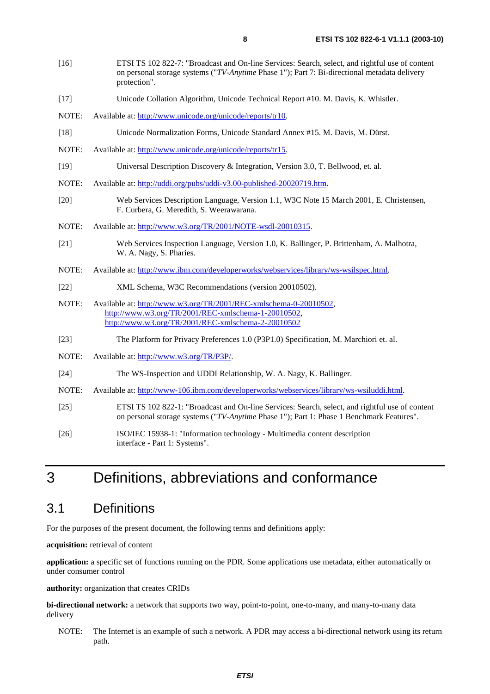- [17] Unicode Collation Algorithm, Unicode Technical Report #10. M. Davis, K. Whistler.
- NOTE: Available at: [http://www.unicode.org/unicode/reports/tr10.](http://www.unicode.org/unicode/reports/tr10)
- [18] Unicode Normalization Forms, Unicode Standard Annex #15. M. Davis, M. Dürst.
- NOTE: Available at: [http://www.unicode.org/unicode/reports/tr15.](http://www.unicode.org/unicode/reports/tr15)
- [19] Universal Description Discovery & Integration, Version 3.0, T. Bellwood, et. al.
- NOTE: Available at:<http://uddi.org/pubs/uddi-v3.00-published-20020719.htm>.
- [20] Web Services Description Language, Version 1.1, W3C Note 15 March 2001, E. Christensen, F. Curbera, G. Meredith, S. Weerawarana.
- NOTE: Available at: [http://www.w3.org/TR/2001/NOTE-wsdl-20010315.](http://www.w3.org/TR/2001/NOTE-wsdl-20010315)
- [21] Web Services Inspection Language, Version 1.0, K. Ballinger, P. Brittenham, A. Malhotra, W. A. Nagy, S. Pharies.
- NOTE: Available at: [http://www.ibm.com/developerworks/webservices/library/ws-wsilspec.html.](http://www.ibm.com/developerworks/webservices/library/ws-wsilspec.html)
- [22] XML Schema, W3C Recommendations (version 20010502).
- NOTE: Available at: [http://www.w3.org/TR/2001/REC-xmlschema-0-20010502,](http://www.w3.org/TR/2001/REC-xmlschema-0-20010502) <http://www.w3.org/TR/2001/REC-xmlschema-1-20010502>, [http://www.w3.org/TR/2001/REC-xmlschema-2-20010502](http://www.w3.org/XML/Schema)
- [23] The Platform for Privacy Preferences 1.0 (P3P1.0) Specification, M. Marchiori et. al.
- NOTE: Available at:<http://www.w3.org/TR/P3P/>.
- [24] The WS-Inspection and UDDI Relationship, W. A. Nagy, K. Ballinger.
- NOTE: Available at: [http://www-106.ibm.com/developerworks/webservices/library/ws-wsiluddi.html.](http://www-106.ibm.com/developerworks/webservices/library/ws-wsiluddi.html)
- [25] ETSI TS 102 822-1: "Broadcast and On-line Services: Search, select, and rightful use of content on personal storage systems ("*TV-Anytime* Phase 1"); Part 1: Phase 1 Benchmark Features".
- [26] ISO/IEC 15938-1: "Information technology Multimedia content description interface - Part 1: Systems".

## 3 Definitions, abbreviations and conformance

### 3.1 Definitions

For the purposes of the present document, the following terms and definitions apply:

**acquisition:** retrieval of content

**application:** a specific set of functions running on the PDR. Some applications use metadata, either automatically or under consumer control

**authority:** organization that creates CRIDs

**bi-directional network:** a network that supports two way, point-to-point, one-to-many, and many-to-many data delivery

NOTE: The Internet is an example of such a network. A PDR may access a bi-directional network using its return path.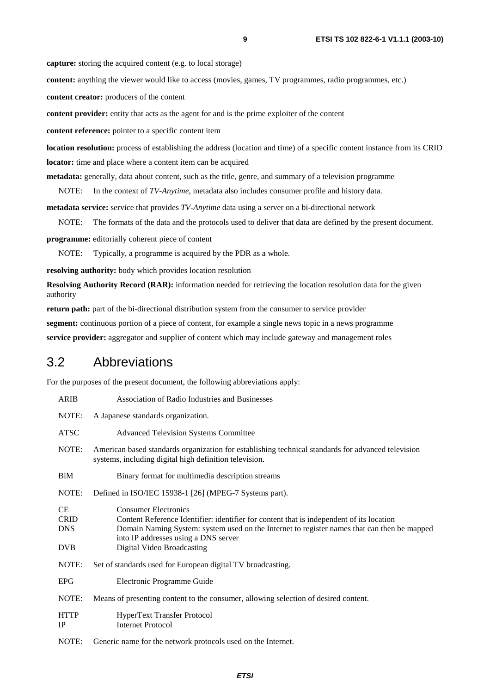**capture:** storing the acquired content (e.g. to local storage)

**content:** anything the viewer would like to access (movies, games, TV programmes, radio programmes, etc.)

**content creator:** producers of the content

**content provider:** entity that acts as the agent for and is the prime exploiter of the content

**content reference:** pointer to a specific content item

**location resolution:** process of establishing the address (location and time) of a specific content instance from its CRID **locator:** time and place where a content item can be acquired

**metadata:** generally, data about content, such as the title, genre, and summary of a television programme

NOTE: In the context of *TV-Anytime*, metadata also includes consumer profile and history data.

**metadata service:** service that provides *TV-Anytime* data using a server on a bi-directional network

NOTE: The formats of the data and the protocols used to deliver that data are defined by the present document.

**programme:** editorially coherent piece of content

NOTE: Typically, a programme is acquired by the PDR as a whole.

**resolving authority:** body which provides location resolution

**Resolving Authority Record (RAR):** information needed for retrieving the location resolution data for the given authority

**return path:** part of the bi-directional distribution system from the consumer to service provider

**segment:** continuous portion of a piece of content, for example a single news topic in a news programme

**service provider:** aggregator and supplier of content which may include gateway and management roles

### 3.2 Abbreviations

For the purposes of the present document, the following abbreviations apply:

| <b>ARIB</b>                                   | Association of Radio Industries and Businesses                                                                                                                                                                                                                                               |
|-----------------------------------------------|----------------------------------------------------------------------------------------------------------------------------------------------------------------------------------------------------------------------------------------------------------------------------------------------|
| NOTE:                                         | A Japanese standards organization.                                                                                                                                                                                                                                                           |
| <b>ATSC</b>                                   | <b>Advanced Television Systems Committee</b>                                                                                                                                                                                                                                                 |
| NOTE:                                         | American based standards organization for establishing technical standards for advanced television<br>systems, including digital high definition television.                                                                                                                                 |
| BiM                                           | Binary format for multimedia description streams                                                                                                                                                                                                                                             |
| NOTE:                                         | Defined in ISO/IEC 15938-1 [26] (MPEG-7 Systems part).                                                                                                                                                                                                                                       |
| CE<br><b>CRID</b><br><b>DNS</b><br><b>DVB</b> | <b>Consumer Electronics</b><br>Content Reference Identifier: identifier for content that is independent of its location<br>Domain Naming System: system used on the Internet to register names that can then be mapped<br>into IP addresses using a DNS server<br>Digital Video Broadcasting |
| NOTE:                                         | Set of standards used for European digital TV broadcasting.                                                                                                                                                                                                                                  |
| <b>EPG</b>                                    | Electronic Programme Guide                                                                                                                                                                                                                                                                   |
| NOTE:                                         | Means of presenting content to the consumer, allowing selection of desired content.                                                                                                                                                                                                          |
| <b>HTTP</b><br>IP                             | HyperText Transfer Protocol<br><b>Internet Protocol</b>                                                                                                                                                                                                                                      |
| NOTE:                                         | Generic name for the network protocols used on the Internet.                                                                                                                                                                                                                                 |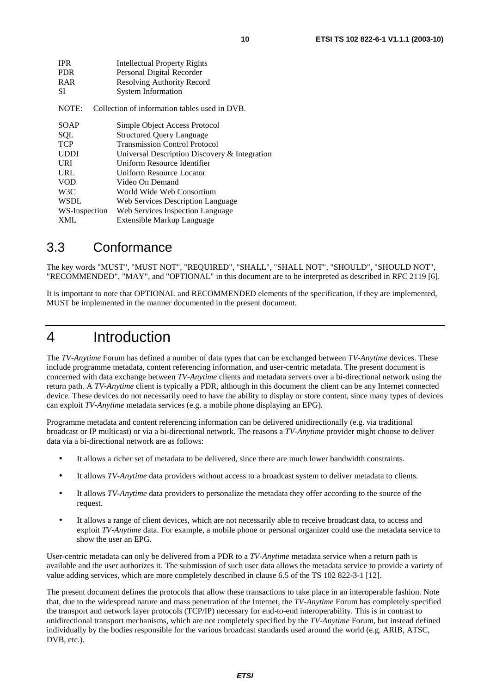| <b>IPR</b>    | <b>Intellectual Property Rights</b>              |
|---------------|--------------------------------------------------|
| <b>PDR</b>    | Personal Digital Recorder                        |
| <b>RAR</b>    | <b>Resolving Authority Record</b>                |
| SІ            | <b>System Information</b>                        |
| NOTE:         | Collection of information tables used in DVB.    |
| SOAP          | Simple Object Access Protocol                    |
| SQL           | <b>Structured Query Language</b>                 |
| <b>TCP</b>    | <b>Transmission Control Protocol</b>             |
| UDDI          | Universal Description Discovery $\&$ Integration |
| URI           | Uniform Resource Identifier                      |
| URL           | Uniform Resource Locator                         |
| <b>VOD</b>    | Video On Demand                                  |
| W3C           | World Wide Web Consortium                        |
| <b>WSDL</b>   | Web Services Description Language                |
| WS-Inspection | Web Services Inspection Language                 |
| <b>XML</b>    | Extensible Markup Language                       |

### 3.3 Conformance

The key words "MUST", "MUST NOT", "REQUIRED", "SHALL", "SHALL NOT", "SHOULD", "SHOULD NOT", "RECOMMENDED", "MAY", and "OPTIONAL" in this document are to be interpreted as described in RFC 2119 [6].

It is important to note that OPTIONAL and RECOMMENDED elements of the specification, if they are implemented, MUST be implemented in the manner documented in the present document.

## 4 Introduction

The *TV-Anytime* Forum has defined a number of data types that can be exchanged between *TV-Anytime* devices. These include programme metadata, content referencing information, and user-centric metadata. The present document is concerned with data exchange between *TV-Anytime* clients and metadata servers over a bi-directional network using the return path. A *TV-Anytime* client is typically a PDR, although in this document the client can be any Internet connected device. These devices do not necessarily need to have the ability to display or store content, since many types of devices can exploit *TV-Anytime* metadata services (e.g. a mobile phone displaying an EPG).

Programme metadata and content referencing information can be delivered unidirectionally (e.g. via traditional broadcast or IP multicast) or via a bi-directional network. The reasons a *TV-Anytime* provider might choose to deliver data via a bi-directional network are as follows:

- It allows a richer set of metadata to be delivered, since there are much lower bandwidth constraints.
- It allows *TV-Anytime* data providers without access to a broadcast system to deliver metadata to clients.
- It allows *TV-Anytime* data providers to personalize the metadata they offer according to the source of the request.
- It allows a range of client devices, which are not necessarily able to receive broadcast data, to access and exploit *TV-Anytime* data. For example, a mobile phone or personal organizer could use the metadata service to show the user an EPG.

User-centric metadata can only be delivered from a PDR to a *TV-Anytime* metadata service when a return path is available and the user authorizes it. The submission of such user data allows the metadata service to provide a variety of value adding services, which are more completely described in clause 6.5 of the TS 102 822-3-1 [12].

The present document defines the protocols that allow these transactions to take place in an interoperable fashion. Note that, due to the widespread nature and mass penetration of the Internet, the *TV-Anytime* Forum has completely specified the transport and network layer protocols (TCP/IP) necessary for end-to-end interoperability. This is in contrast to unidirectional transport mechanisms, which are not completely specified by the *TV-Anytime* Forum, but instead defined individually by the bodies responsible for the various broadcast standards used around the world (e.g. ARIB, ATSC, DVB, etc.).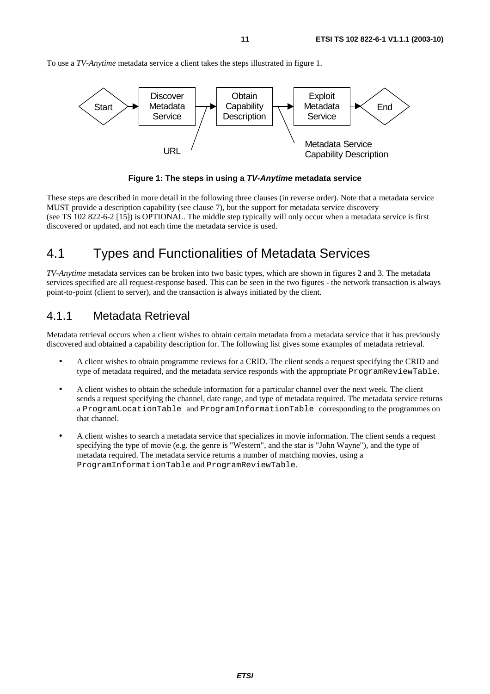<span id="page-10-0"></span>To use a *TV-Anytime* metadata service a client takes the steps illustrated in figure 1.



**Figure 1: The steps in using a TV-Anytime metadata service** 

These steps are described in more detail in the following three clauses (in reverse order). Note that a metadata service MUST provide a description capability (see clause 7), but the support for metadata service discovery (see TS 102 822-6-2 [15]) is OPTIONAL. The middle step typically will only occur when a metadata service is first discovered or updated, and not each time the metadata service is used.

### 4.1 Types and Functionalities of Metadata Services

*TV-Anytime* metadata services can be broken into two basic types, which are shown in figures 2 and 3. The metadata services specified are all request-response based. This can be seen in the two figures - the network transaction is always point-to-point (client to server), and the transaction is always initiated by the client.

### 4.1.1 Metadata Retrieval

Metadata retrieval occurs when a client wishes to obtain certain metadata from a metadata service that it has previously discovered and obtained a capability description for. The following list gives some examples of metadata retrieval.

- A client wishes to obtain programme reviews for a CRID. The client sends a request specifying the CRID and type of metadata required, and the metadata service responds with the appropriate ProgramReviewTable.
- A client wishes to obtain the schedule information for a particular channel over the next week. The client sends a request specifying the channel, date range, and type of metadata required. The metadata service returns a ProgramLocationTable and ProgramInformationTable corresponding to the programmes on that channel.
- A client wishes to search a metadata service that specializes in movie information. The client sends a request specifying the type of movie (e.g. the genre is "Western", and the star is "John Wayne"), and the type of metadata required. The metadata service returns a number of matching movies, using a ProgramInformationTable and ProgramReviewTable.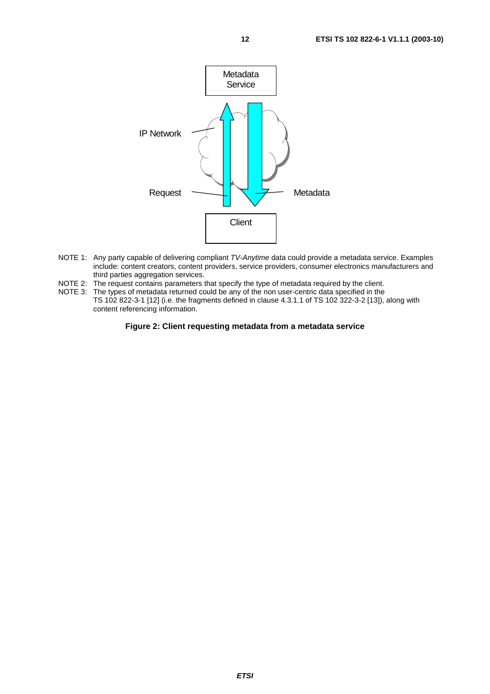<span id="page-11-0"></span>

- NOTE 1: Any party capable of delivering compliant TV-Anytime data could provide a metadata service. Examples include: content creators, content providers, service providers, consumer electronics manufacturers and third parties aggregation services.
- NOTE 2: The request contains parameters that specify the type of metadata required by the client.
- NOTE 3: The types of metadata returned could be any of the non user-centric data specified in the TS 102 822-3-1 [12] (i.e. the fragments defined in clause 4.3.1.1 of TS 102 322-3-2 [13]), along with content referencing information.

**Figure 2: Client requesting metadata from a metadata service**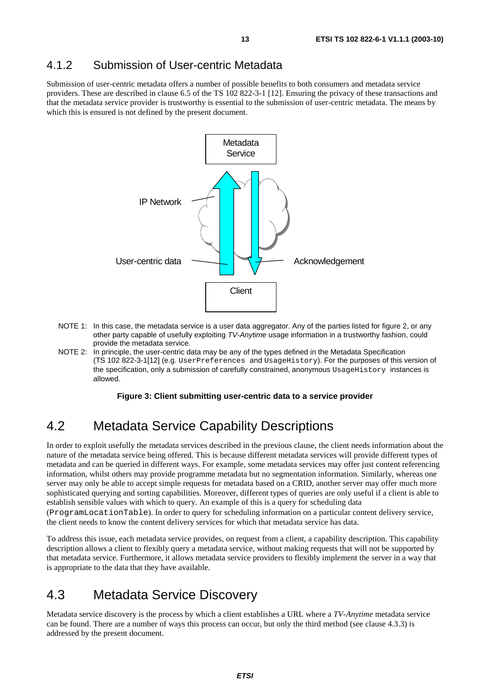### <span id="page-12-0"></span>4.1.2 Submission of User-centric Metadata

Submission of user-centric metadata offers a number of possible benefits to both consumers and metadata service providers. These are described in clause 6.5 of the TS 102 822-3-1 [12]. Ensuring the privacy of these transactions and that the metadata service provider is trustworthy is essential to the submission of user-centric metadata. The means by which this is ensured is not defined by the present document.



- NOTE 1: In this case, the metadata service is a user data aggregator. Any of the parties listed for figure 2, or any other party capable of usefully exploiting TV-Anytime usage information in a trustworthy fashion, could provide the metadata service.
- NOTE 2: In principle, the user-centric data may be any of the types defined in the Metadata Specification (TS 102 822-3-1[12] (e.g. UserPreferences and UsageHistory). For the purposes of this version of the specification, only a submission of carefully constrained, anonymous UsageHistory instances is allowed.

#### **Figure 3: Client submitting user-centric data to a service provider**

### 4.2 Metadata Service Capability Descriptions

In order to exploit usefully the metadata services described in the previous clause, the client needs information about the nature of the metadata service being offered. This is because different metadata services will provide different types of metadata and can be queried in different ways. For example, some metadata services may offer just content referencing information, whilst others may provide programme metadata but no segmentation information. Similarly, whereas one server may only be able to accept simple requests for metadata based on a CRID, another server may offer much more sophisticated querying and sorting capabilities. Moreover, different types of queries are only useful if a client is able to establish sensible values with which to query. An example of this is a query for scheduling data (ProgramLocationTable). In order to query for scheduling information on a particular content delivery service, the client needs to know the content delivery services for which that metadata service has data.

To address this issue, each metadata service provides, on request from a client, a capability description. This capability description allows a client to flexibly query a metadata service, without making requests that will not be supported by that metadata service. Furthermore, it allows metadata service providers to flexibly implement the server in a way that is appropriate to the data that they have available.

### 4.3 Metadata Service Discovery

Metadata service discovery is the process by which a client establishes a URL where a *TV-Anytime* metadata service can be found. There are a number of ways this process can occur, but only the third method (see clause 4.3.3) is addressed by the present document.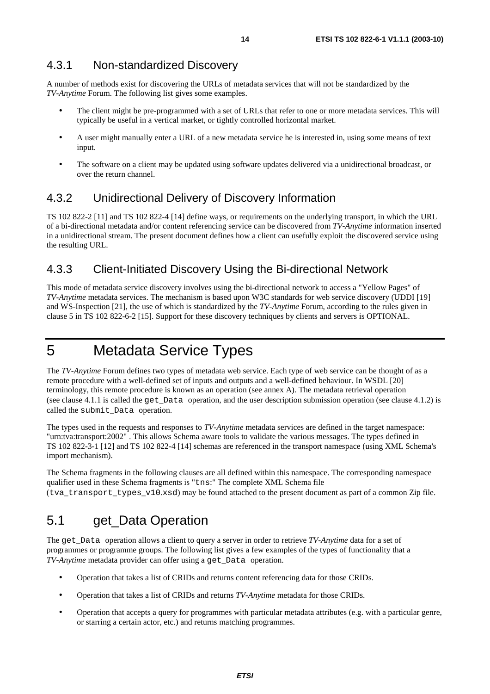A number of methods exist for discovering the URLs of metadata services that will not be standardized by the *TV-Anytime* Forum. The following list gives some examples.

- The client might be pre-programmed with a set of URLs that refer to one or more metadata services. This will typically be useful in a vertical market, or tightly controlled horizontal market.
- A user might manually enter a URL of a new metadata service he is interested in, using some means of text input.
- The software on a client may be updated using software updates delivered via a unidirectional broadcast, or over the return channel.

### 4.3.2 Unidirectional Delivery of Discovery Information

TS 102 822-2 [11] and TS 102 822-4 [14] define ways, or requirements on the underlying transport, in which the URL of a bi-directional metadata and/or content referencing service can be discovered from *TV-Anytime* information inserted in a unidirectional stream. The present document defines how a client can usefully exploit the discovered service using the resulting URL.

### 4.3.3 Client-Initiated Discovery Using the Bi-directional Network

This mode of metadata service discovery involves using the bi-directional network to access a "Yellow Pages" of *TV-Anytime* metadata services. The mechanism is based upon W3C standards for web service discovery (UDDI [19] and WS-Inspection [21], the use of which is standardized by the *TV-Anytime* Forum, according to the rules given in clause 5 in TS 102 822-6-2 [15]. Support for these discovery techniques by clients and servers is OPTIONAL.

## 5 Metadata Service Types

The *TV-Anytime* Forum defines two types of metadata web service. Each type of web service can be thought of as a remote procedure with a well-defined set of inputs and outputs and a well-defined behaviour. In WSDL [20] terminology, this remote procedure is known as an operation (see annex A). The metadata retrieval operation (see clause 4.1.1 is called the get Data operation, and the user description submission operation (see clause  $4.1.2$ ) is called the submit\_Data operation.

The types used in the requests and responses to *TV-Anytime* metadata services are defined in the target namespace: "urn:tva:transport:2002" . This allows Schema aware tools to validate the various messages. The types defined in TS 102 822-3-1 [12] and TS 102 822-4 [14] schemas are referenced in the transport namespace (using XML Schema's import mechanism).

The Schema fragments in the following clauses are all defined within this namespace. The corresponding namespace qualifier used in these Schema fragments is "tns:" The complete XML Schema file (tva\_transport\_types\_v10.xsd) may be found attached to the present document as part of a common Zip file.

## 5.1 get\_Data Operation

The get\_Data operation allows a client to query a server in order to retrieve *TV-Anytime* data for a set of programmes or programme groups. The following list gives a few examples of the types of functionality that a *TV-Anytime* metadata provider can offer using a get Data operation.

- Operation that takes a list of CRIDs and returns content referencing data for those CRIDs.
- Operation that takes a list of CRIDs and returns *TV-Anytime* metadata for those CRIDs.
- Operation that accepts a query for programmes with particular metadata attributes (e.g. with a particular genre, or starring a certain actor, etc.) and returns matching programmes.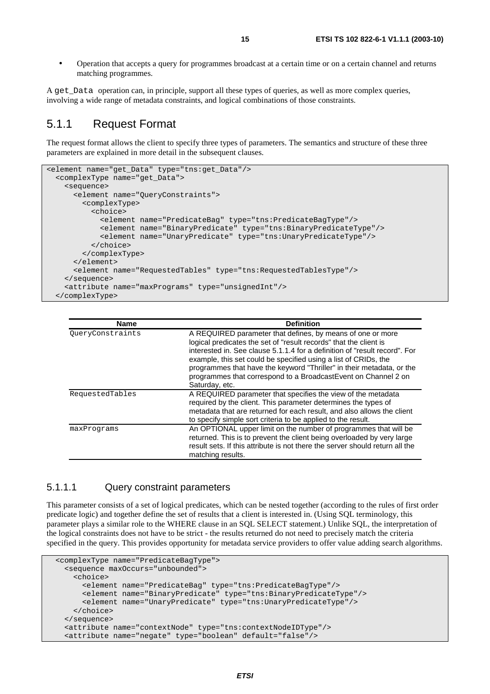• Operation that accepts a query for programmes broadcast at a certain time or on a certain channel and returns matching programmes.

A get\_Data operation can, in principle, support all these types of queries, as well as more complex queries, involving a wide range of metadata constraints, and logical combinations of those constraints.

#### 5.1.1 Request Format

The request format allows the client to specify three types of parameters. The semantics and structure of these three parameters are explained in more detail in the subsequent clauses.

```
<element name="get_Data" type="tns:get_Data"/> 
   <complexType name="get_Data"> 
     <sequence> 
       <element name="QueryConstraints"> 
         <complexType> 
           <choice> 
             <element name="PredicateBag" type="tns:PredicateBagType"/> 
             <element name="BinaryPredicate" type="tns:BinaryPredicateType"/> 
             <element name="UnaryPredicate" type="tns:UnaryPredicateType"/> 
           </choice> 
         </complexType> 
       </element> 
       <element name="RequestedTables" type="tns:RequestedTablesType"/> 
     </sequence> 
     <attribute name="maxPrograms" type="unsignedInt"/> 
   </complexType>
```

| <b>Name</b>      | <b>Definition</b>                                                                                                                                                                                                                                                                                                                                                                                                                              |
|------------------|------------------------------------------------------------------------------------------------------------------------------------------------------------------------------------------------------------------------------------------------------------------------------------------------------------------------------------------------------------------------------------------------------------------------------------------------|
| QueryConstraints | A REQUIRED parameter that defines, by means of one or more<br>logical predicates the set of "result records" that the client is<br>interested in. See clause 5.1.1.4 for a definition of "result record". For<br>example, this set could be specified using a list of CRIDs, the<br>programmes that have the keyword "Thriller" in their metadata, or the<br>programmes that correspond to a Broadcast Event on Channel 2 on<br>Saturday, etc. |
| RequestedTables  | A REQUIRED parameter that specifies the view of the metadata<br>required by the client. This parameter determines the types of<br>metadata that are returned for each result, and also allows the client<br>to specify simple sort criteria to be applied to the result.                                                                                                                                                                       |
| maxPrograms      | An OPTIONAL upper limit on the number of programmes that will be<br>returned. This is to prevent the client being overloaded by very large<br>result sets. If this attribute is not there the server should return all the<br>matching results.                                                                                                                                                                                                |

#### 5.1.1.1 Query constraint parameters

This parameter consists of a set of logical predicates, which can be nested together (according to the rules of first order predicate logic) and together define the set of results that a client is interested in. (Using SQL terminology, this parameter plays a similar role to the WHERE clause in an SQL SELECT statement.) Unlike SQL, the interpretation of the logical constraints does not have to be strict - the results returned do not need to precisely match the criteria specified in the query. This provides opportunity for metadata service providers to offer value adding search algorithms.

```
 <complexType name="PredicateBagType"> 
   <sequence maxOccurs="unbounded"> 
     <choice> 
       <element name="PredicateBag" type="tns:PredicateBagType"/> 
       <element name="BinaryPredicate" type="tns:BinaryPredicateType"/> 
       <element name="UnaryPredicate" type="tns:UnaryPredicateType"/> 
     </choice> 
   </sequence> 
   <attribute name="contextNode" type="tns:contextNodeIDType"/> 
   <attribute name="negate" type="boolean" default="false"/>
```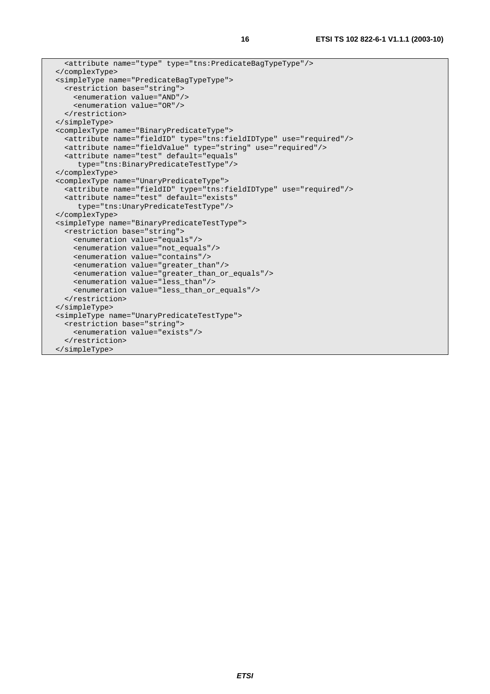```
 <attribute name="type" type="tns:PredicateBagTypeType"/> 
 </complexType> 
 <simpleType name="PredicateBagTypeType"> 
   <restriction base="string"> 
     <enumeration value="AND"/> 
     <enumeration value="OR"/> 
  </restriction> 
 </simpleType> 
 <complexType name="BinaryPredicateType"> 
   <attribute name="fieldID" type="tns:fieldIDType" use="required"/> 
   <attribute name="fieldValue" type="string" use="required"/> 
   <attribute name="test" default="equals" 
     type="tns:BinaryPredicateTestType"/> 
 </complexType> 
 <complexType name="UnaryPredicateType"> 
   <attribute name="fieldID" type="tns:fieldIDType" use="required"/> 
   <attribute name="test" default="exists" 
      type="tns:UnaryPredicateTestType"/> 
 </complexType> 
 <simpleType name="BinaryPredicateTestType"> 
   <restriction base="string"> 
     <enumeration value="equals"/> 
     <enumeration value="not_equals"/> 
     <enumeration value="contains"/> 
     <enumeration value="greater_than"/> 
     <enumeration value="greater_than_or_equals"/> 
     <enumeration value="less_than"/> 
     <enumeration value="less_than_or_equals"/> 
  </restriction> 
 </simpleType> 
 <simpleType name="UnaryPredicateTestType"> 
   <restriction base="string"> 
     <enumeration value="exists"/> 
   </restriction> 
 </simpleType>
```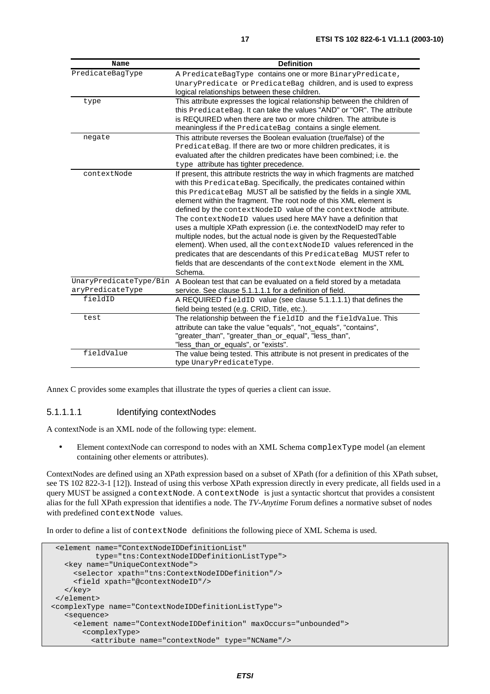| Name                   | <b>Definition</b>                                                           |
|------------------------|-----------------------------------------------------------------------------|
| PredicateBaqType       | A PredicateBagType contains one or more Binary Predicate,                   |
|                        | UnaryPredicate Of PredicateBag children, and is used to express             |
|                        | logical relationships between these children.                               |
| type                   | This attribute expresses the logical relationship between the children of   |
|                        | this PredicateBag. It can take the values "AND" or "OR". The attribute      |
|                        | is REQUIRED when there are two or more children. The attribute is           |
|                        | meaningless if the PredicateBag contains a single element.                  |
| negate                 | This attribute reverses the Boolean evaluation (true/false) of the          |
|                        | PredicateBag. If there are two or more children predicates, it is           |
|                        | evaluated after the children predicates have been combined; i.e. the        |
|                        | type attribute has tighter precedence.                                      |
| contextNode            | If present, this attribute restricts the way in which fragments are matched |
|                        | with this PredicateBag. Specifically, the predicates contained within       |
|                        | this PredicateBag MUST all be satisfied by the fields in a single XML       |
|                        | element within the fragment. The root node of this XML element is           |
|                        | defined by the contextNodeID value of the contextNode attribute.            |
|                        | The contextNodeID values used here MAY have a definition that               |
|                        | uses a multiple XPath expression (i.e. the contextNodeID may refer to       |
|                        | multiple nodes, but the actual node is given by the Requested Table         |
|                        | element). When used, all the contextNodeID values referenced in the         |
|                        | predicates that are descendants of this PredicateBag MUST refer to          |
|                        | fields that are descendants of the context Node element in the XML          |
|                        | Schema.                                                                     |
| UnaryPredicateType/Bin | A Boolean test that can be evaluated on a field stored by a metadata        |
| aryPredicateType       | service. See clause 5.1.1.1.1 for a definition of field.                    |
| fieldID                | A REQUIRED fieldID value (see clause 5.1.1.1.1) that defines the            |
|                        | field being tested (e.g. CRID, Title, etc.).                                |
| test                   | The relationship between the fieldID and the fieldValue. This               |
|                        | attribute can take the value "equals", "not_equals", "contains",            |
|                        | "greater_than", "greater_than_or_equal", "less_than",                       |
|                        | "less_than_or_equals", or "exists".                                         |
| fieldValue             | The value being tested. This attribute is not present in predicates of the  |
|                        | type UnaryPredicateType.                                                    |

Annex C provides some examples that illustrate the types of queries a client can issue.

#### 5.1.1.1.1 Identifying contextNodes

A contextNode is an XML node of the following type: element.

• Element contextNode can correspond to nodes with an XML Schema complexType model (an element containing other elements or attributes).

ContextNodes are defined using an XPath expression based on a subset of XPath (for a definition of this XPath subset, see TS 102 822-3-1 [12]). Instead of using this verbose XPath expression directly in every predicate, all fields used in a query MUST be assigned a contextNode. A contextNode is just a syntactic shortcut that provides a consistent alias for the full XPath expression that identifies a node. The *TV-Anytime* Forum defines a normative subset of nodes with predefined contextNode values.

In order to define a list of contextNode definitions the following piece of XML Schema is used.

```
 <element name="ContextNodeIDDefinitionList" 
           type="tns:ContextNodeIDDefinitionListType"> 
    <key name="UniqueContextNode"> 
      <selector xpath="tns:ContextNodeIDDefinition"/> 
      <field xpath="@contextNodeID"/> 
   </key> 
 </element> 
 <complexType name="ContextNodeIDDefinitionListType"> 
    <sequence> 
      <element name="ContextNodeIDDefinition" maxOccurs="unbounded"> 
        <complexType> 
          <attribute name="contextNode" type="NCName"/>
```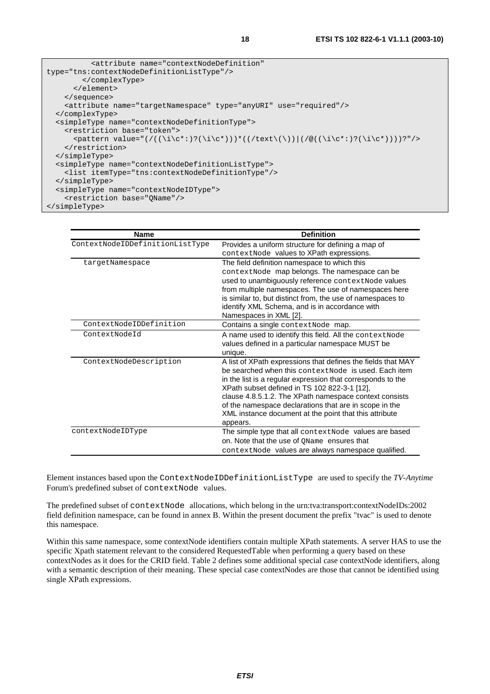| <attribute <="" name="contextNodeDefinition" th=""></attribute>                         |
|-----------------------------------------------------------------------------------------|
| type="tns:contextNodeDefinitionListType"/>                                              |
|                                                                                         |
| $\langle$ /element>                                                                     |
| $\langle$ sequence>                                                                     |
| <attribute name="targetNamespace" type="anyURI" use="required"></attribute>             |
|                                                                                         |
| <simpletype name="contextNodeDefinitionType"></simpletype>                              |
| <restriction base="token"></restriction>                                                |
| <pattern value="(/((\i\c*:)?(\i\c*)))*((/text\(\)) (/@((\i\c*:)?(\i\c*))))?"></pattern> |
|                                                                                         |
|                                                                                         |
| <simpletype name="contextNodeDefinitionListType"></simpletype>                          |
| <list itemtype="tns:contextNodeDefinitionType"></list>                                  |
|                                                                                         |
| <simpletype name="contextNodeIDType"></simpletype>                                      |
| <restriction base="OName"></restriction>                                                |
|                                                                                         |

| <b>Name</b>                     | <b>Definition</b>                                                                                                                                                                                                                                                                                                                                                                                                              |
|---------------------------------|--------------------------------------------------------------------------------------------------------------------------------------------------------------------------------------------------------------------------------------------------------------------------------------------------------------------------------------------------------------------------------------------------------------------------------|
| ContextNodeIDDefinitionListType | Provides a uniform structure for defining a map of<br>contextNode values to XPath expressions.                                                                                                                                                                                                                                                                                                                                 |
| targetNamespace                 | The field definition namespace to which this<br>contextNode map belongs. The namespace can be<br>used to unambiguously reference contextNode values<br>from multiple namespaces. The use of namespaces here<br>is similar to, but distinct from, the use of namespaces to<br>identify XML Schema, and is in accordance with<br>Namespaces in XML [2].                                                                          |
| ContextNodeIDDefinition         | Contains a single context Node map.                                                                                                                                                                                                                                                                                                                                                                                            |
| ContextNodeId                   | A name used to identify this field. All the context Node<br>values defined in a particular namespace MUST be<br>unique.                                                                                                                                                                                                                                                                                                        |
| ContextNodeDescription          | A list of XPath expressions that defines the fields that MAY<br>be searched when this context Node is used. Each item<br>in the list is a regular expression that corresponds to the<br>XPath subset defined in TS 102 822-3-1 [12],<br>clause 4.8.5.1.2. The XPath namespace context consists<br>of the namespace declarations that are in scope in the<br>XML instance document at the point that this attribute<br>appears. |
| contextNodeIDType               | The simple type that all context Node values are based<br>on. Note that the use of OName ensures that<br>context Node values are always namespace qualified.                                                                                                                                                                                                                                                                   |

Element instances based upon the ContextNodeIDDefinitionListType are used to specify the *TV-Anytime* Forum's predefined subset of contextNode values.

The predefined subset of contextNode allocations, which belong in the urn:tva:transport:contextNodeIDs:2002 field definition namespace, can be found in annex B. Within the present document the prefix "tvac" is used to denote this namespace.

Within this same namespace, some contextNode identifiers contain multiple XPath statements. A server HAS to use the specific Xpath statement relevant to the considered RequestedTable when performing a query based on these contextNodes as it does for the CRID field. Table 2 defines some additional special case contextNode identifiers, along with a semantic description of their meaning. These special case contextNodes are those that cannot be identified using single XPath expressions.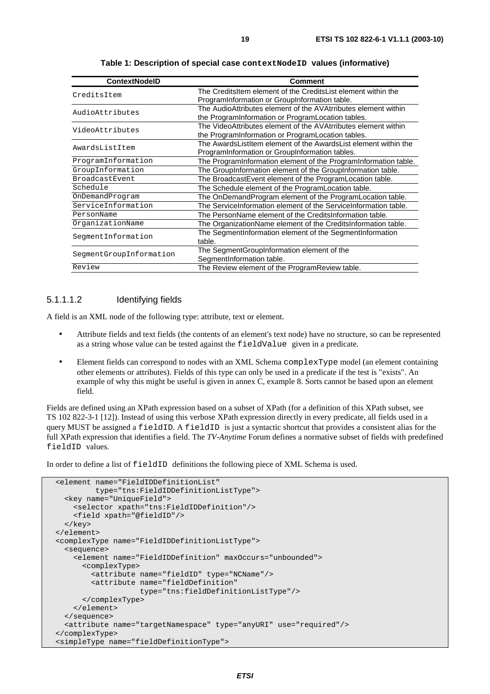<span id="page-18-0"></span>

| <b>ContextNodelD</b>    | <b>Comment</b>                                                                                                        |
|-------------------------|-----------------------------------------------------------------------------------------------------------------------|
| CreditsItem             | The CreditsItem element of the CreditsList element within the<br>ProgramInformation or GroupInformation table.        |
| AudioAttributes         | The AudioAttributes element of the AVAtrributes element within<br>the Program Information or Program Location tables. |
| VideoAttributes         | The VideoAttributes element of the AVAtrributes element within<br>the Program Information or Program Location tables. |
| AwardsListItem          | The AwardsListItem element of the AwardsList element within the<br>ProgramInformation or GroupInformation tables.     |
| ProgramInformation      | The ProgramInformation element of the ProgramInformation table.                                                       |
| GroupInformation        | The GroupInformation element of the GroupInformation table.                                                           |
| <b>BroadcastEvent</b>   | The BroadcastEvent element of the ProgramLocation table.                                                              |
| Schedule                | The Schedule element of the ProgramLocation table.                                                                    |
| OnDemandProgram         | The OnDemandProgram element of the ProgramLocation table.                                                             |
| ServiceInformation      | The ServiceInformation element of the ServiceInformation table.                                                       |
| PersonName              | The PersonName element of the CreditsInformation table.                                                               |
| OrganizationName        | The OrganizationName element of the CreditsInformation table.                                                         |
| SeqmentInformation      | The SegmentInformation element of the SegmentInformation<br>table.                                                    |
| SegmentGroupInformation | The SegmentGroupInformation element of the<br>SegmentInformation table.                                               |
| Review                  | The Review element of the ProgramReview table.                                                                        |

**Table 1: Description of special case contextNodeID values (informative)** 

#### 5.1.1.1.2 Identifying fields

A field is an XML node of the following type: attribute, text or element.

- Attribute fields and text fields (the contents of an element's text node) have no structure, so can be represented as a string whose value can be tested against the fieldValue given in a predicate.
- Element fields can correspond to nodes with an XML Schema complexType model (an element containing other elements or attributes). Fields of this type can only be used in a predicate if the test is "exists". An example of why this might be useful is given in annex C, example 8. Sorts cannot be based upon an element field.

Fields are defined using an XPath expression based on a subset of XPath (for a definition of this XPath subset, see TS 102 822-3-1 [12]). Instead of using this verbose XPath expression directly in every predicate, all fields used in a query MUST be assigned a fieldID. A fieldID is just a syntactic shortcut that provides a consistent alias for the full XPath expression that identifies a field. The *TV-Anytime* Forum defines a normative subset of fields with predefined fieldID values.

In order to define a list of fieldID definitions the following piece of XML Schema is used.

```
 <element name="FieldIDDefinitionList" 
          type="tns:FieldIDDefinitionListType"> 
   <key name="UniqueField"> 
    <selector xpath="tns:FieldIDDefinition"/> 
     <field xpath="@fieldID"/> 
  </key> 
 </element> 
 <complexType name="FieldIDDefinitionListType"> 
   <sequence> 
     <element name="FieldIDDefinition" maxOccurs="unbounded"> 
       <complexType> 
         <attribute name="fieldID" type="NCName"/> 
         <attribute name="fieldDefinition" 
                     type="tns:fieldDefinitionListType"/> 
       </complexType> 
     </element> 
   </sequence> 
   <attribute name="targetNamespace" type="anyURI" use="required"/> 
 </complexType> 
 <simpleType name="fieldDefinitionType">
```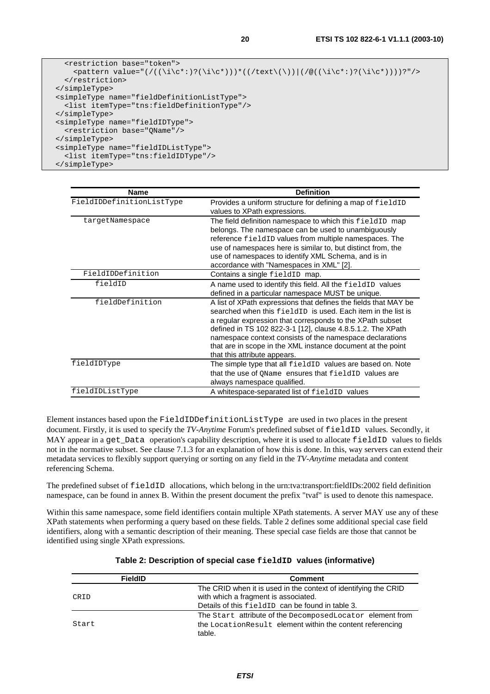```
 <restriction base="token"> 
    \zeta <pattern value="(/((\i\c*:)?(\i\c*)))*((/text\(\))|(/@((\i\c*:)?(\i\c*))))?"/>
   </restriction> 
 </simpleType> 
 <simpleType name="fieldDefinitionListType"> 
   <list itemType="tns:fieldDefinitionType"/> 
 </simpleType> 
 <simpleType name="fieldIDType"> 
   <restriction base="QName"/> 
 </simpleType> 
 <simpleType name="fieldIDListType"> 
  <list itemType="tns:fieldIDType"/> 
 </simpleType>
```

| <b>Name</b>               | <b>Definition</b>                                                                                                                                                                                                                                                                                                                                                                                                                      |
|---------------------------|----------------------------------------------------------------------------------------------------------------------------------------------------------------------------------------------------------------------------------------------------------------------------------------------------------------------------------------------------------------------------------------------------------------------------------------|
| FieldIDDefinitionListType | Provides a uniform structure for defining a map of fieldID<br>values to XPath expressions.                                                                                                                                                                                                                                                                                                                                             |
| targetNamespace           | The field definition namespace to which this fieldID map<br>belongs. The namespace can be used to unambiguously<br>reference fieldID values from multiple namespaces. The<br>use of namespaces here is similar to, but distinct from, the<br>use of namespaces to identify XML Schema, and is in<br>accordance with "Namespaces in XML" [2].                                                                                           |
| FieldIDDefinition         | Contains a single fieldID map.                                                                                                                                                                                                                                                                                                                                                                                                         |
| fieldID                   | A name used to identify this field. All the fieldID values<br>defined in a particular namespace MUST be unique.                                                                                                                                                                                                                                                                                                                        |
| fieldDefinition           | A list of XPath expressions that defines the fields that MAY be<br>searched when this $f = L \cdot d \cdot D$ is used. Each item in the list is<br>a regular expression that corresponds to the XPath subset<br>defined in TS 102 822-3-1 [12], clause 4.8.5.1.2. The XPath<br>namespace context consists of the namespace declarations<br>that are in scope in the XML instance document at the point<br>that this attribute appears. |
| fieldIDType               | The simple type that all fieldID values are based on. Note<br>that the use of OName ensures that fieldID values are<br>always namespace qualified.                                                                                                                                                                                                                                                                                     |
| fieldIDListType           | A whitespace-separated list of fieldID values                                                                                                                                                                                                                                                                                                                                                                                          |

Element instances based upon the FieldIDDefinitionListType are used in two places in the present document. Firstly, it is used to specify the *TV-Anytime* Forum's predefined subset of fieldID values. Secondly, it MAY appear in a get Data operation's capability description, where it is used to allocate fieldID values to fields not in the normative subset. See clause 7.1.3 for an explanation of how this is done. In this, way servers can extend their metadata services to flexibly support querying or sorting on any field in the *TV-Anytime* metadata and content referencing Schema.

The predefined subset of fieldID allocations, which belong in the urn:tva:transport:fieldIDs:2002 field definition namespace, can be found in annex B. Within the present document the prefix "tvaf" is used to denote this namespace.

Within this same namespace, some field identifiers contain multiple XPath statements. A server MAY use any of these XPath statements when performing a query based on these fields. Table 2 defines some additional special case field identifiers, along with a semantic description of their meaning. These special case fields are those that cannot be identified using single XPath expressions.

| <b>FieldID</b> | <b>Comment</b>                                                  |
|----------------|-----------------------------------------------------------------|
|                | The CRID when it is used in the context of identifying the CRID |
| CRID           | with which a fragment is associated.                            |
|                | Details of this fieldID can be found in table 3.                |
|                | The Start attribute of the Decomposed Locator element from      |
| Start          | the Location Result element within the content referencing      |
|                | table.                                                          |

#### **Table 2: Description of special case fieldID values (informative)**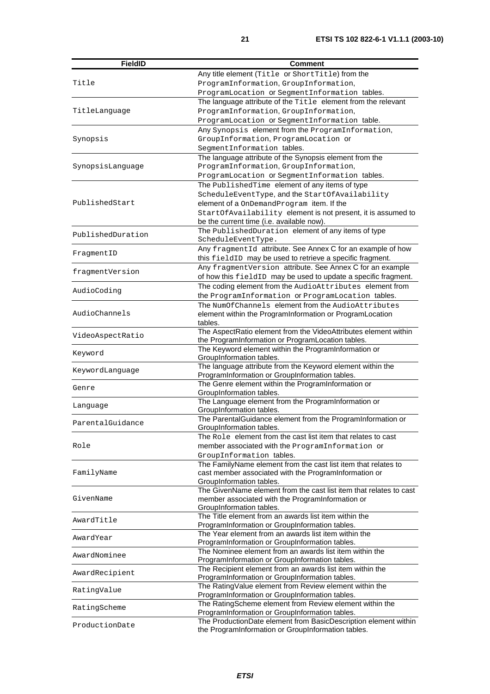| <b>FieldID</b>    | Comment                                                                                                  |
|-------------------|----------------------------------------------------------------------------------------------------------|
|                   | Any title element (Title or ShortTitle) from the                                                         |
| Title             | ProgramInformation, GroupInformation,                                                                    |
|                   | ProgramLocation Or SegmentInformation tables.                                                            |
|                   | The language attribute of the Title element from the relevant                                            |
| TitleLanguage     | ProgramInformation, GroupInformation,                                                                    |
|                   | ProgramLocation Of SegmentInformation table.                                                             |
|                   | Any Synopsis element from the ProgramInformation,                                                        |
| Synopsis          | GroupInformation, ProgramLocation Of                                                                     |
|                   | SegmentInformation tables.                                                                               |
|                   | The language attribute of the Synopsis element from the                                                  |
| SynopsisLanguage  | ProgramInformation, GroupInformation,                                                                    |
|                   | ProgramLocation Of SegmentInformation tables.                                                            |
|                   | The PublishedTime element of any items of type                                                           |
|                   | ScheduleEventType, and the StartOfAvailability                                                           |
| PublishedStart    | element of a OnDemandProgram item. If the                                                                |
|                   | StartOfAvailability element is not present, it is assumed to                                             |
|                   | be the current time (i.e. available now).                                                                |
|                   | The PublishedDuration element of any items of type                                                       |
| PublishedDuration | ScheduleEventType.                                                                                       |
|                   | Any fragmentId attribute. See Annex C for an example of how                                              |
| FragmentID        | this fieldID may be used to retrieve a specific fragment.                                                |
|                   | Any fragmentVersion attribute. See Annex C for an example                                                |
| fragmentVersion   | of how this fieldID may be used to update a specific fragment.                                           |
|                   | The coding element from the AudioAttributes element from                                                 |
| AudioCoding       | the ProgramInformation Or ProgramLocation tables.                                                        |
|                   | The NumOfChannels element from the AudioAttributes                                                       |
| AudioChannels     | element within the ProgramInformation or ProgramLocation                                                 |
|                   | tables.                                                                                                  |
|                   | The AspectRatio element from the VideoAttributes element within                                          |
| VideoAspectRatio  | the ProgramInformation or ProgramLocation tables.                                                        |
| Keyword           | The Keyword element within the ProgramInformation or                                                     |
|                   | GroupInformation tables.                                                                                 |
| KeywordLanguage   | The language attribute from the Keyword element within the                                               |
|                   | ProgramInformation or GroupInformation tables.                                                           |
| Genre             | The Genre element within the ProgramInformation or                                                       |
|                   | GroupInformation tables.                                                                                 |
| Language          | The Language element from the ProgramInformation or                                                      |
|                   | GroupInformation tables.<br>The ParentalGuidance element from the ProgramInformation or                  |
| ParentalGuidance  | GroupInformation tables.                                                                                 |
|                   | The Role element from the cast list item that relates to cast                                            |
| Role              | member associated with the ProgramInformation or                                                         |
|                   | GroupInformation tables.                                                                                 |
|                   | The FamilyName element from the cast list item that relates to                                           |
| FamilyName        | cast member associated with the ProgramInformation or                                                    |
|                   | GroupInformation tables.                                                                                 |
|                   | The GivenName element from the cast list item that relates to cast                                       |
| GivenName         | member associated with the ProgramInformation or                                                         |
|                   | GroupInformation tables.                                                                                 |
| AwardTitle        | The Title element from an awards list item within the                                                    |
|                   | ProgramInformation or GroupInformation tables.                                                           |
| AwardYear         | The Year element from an awards list item within the                                                     |
|                   | ProgramInformation or GroupInformation tables.                                                           |
| AwardNominee      | The Nominee element from an awards list item within the                                                  |
|                   | ProgramInformation or GroupInformation tables.                                                           |
| AwardRecipient    | The Recipient element from an awards list item within the                                                |
|                   | ProgramInformation or GroupInformation tables.                                                           |
| RatingValue       | The RatingValue element from Review element within the<br>ProgramInformation or GroupInformation tables. |
|                   | The RatingScheme element from Review element within the                                                  |
| RatingScheme      | ProgramInformation or GroupInformation tables.                                                           |
|                   | The ProductionDate element from BasicDescription element within                                          |
| ProductionDate    | the ProgramInformation or GroupInformation tables.                                                       |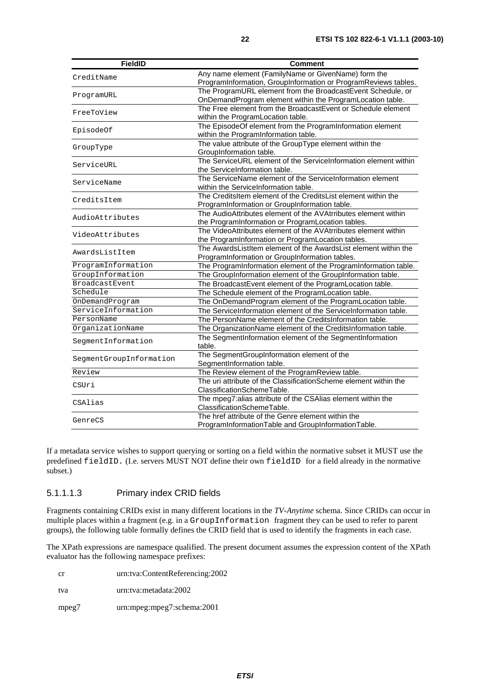| <b>FieldID</b>                                                                                                                                                                                                                                                                                                             | Comment                                                          |
|----------------------------------------------------------------------------------------------------------------------------------------------------------------------------------------------------------------------------------------------------------------------------------------------------------------------------|------------------------------------------------------------------|
|                                                                                                                                                                                                                                                                                                                            | Any name element (FamilyName or GivenName) form the              |
|                                                                                                                                                                                                                                                                                                                            | ProgramInformation, GroupInformation or ProgramReviews tables.   |
|                                                                                                                                                                                                                                                                                                                            | The ProgramURL element from the BroadcastEvent Schedule, or      |
| CreditName<br>ServiceURL<br>ServiceName<br>AwardsListItem<br>Schedule<br>PersonName                                                                                                                                                                                                                                        | OnDemandProgram element within the ProgramLocation table.        |
|                                                                                                                                                                                                                                                                                                                            | The Free element from the BroadcastEvent or Schedule element     |
|                                                                                                                                                                                                                                                                                                                            | within the ProgramLocation table.                                |
|                                                                                                                                                                                                                                                                                                                            | The EpisodeOf element from the ProgramInformation element        |
|                                                                                                                                                                                                                                                                                                                            | within the ProgramInformation table.                             |
| ProgramURL<br>FreeToView<br>EpisodeOf<br>GroupType<br>CreditsItem<br>AudioAttributes<br>VideoAttributes<br>ProgramInformation<br>GroupInformation<br>BroadcastEvent<br>OnDemandProgram<br>ServiceInformation<br>OrganizationName<br>SeqmentInformation<br>SegmentGroupInformation<br>Review<br>CSUri<br>CSAlias<br>GenreCS | The value attribute of the GroupType element within the          |
|                                                                                                                                                                                                                                                                                                                            | GroupInformation table.                                          |
|                                                                                                                                                                                                                                                                                                                            | The ServiceURL element of the ServiceInformation element within  |
|                                                                                                                                                                                                                                                                                                                            | the ServiceInformation table.                                    |
|                                                                                                                                                                                                                                                                                                                            | The ServiceName element of the ServiceInformation element        |
|                                                                                                                                                                                                                                                                                                                            | within the ServiceInformation table.                             |
|                                                                                                                                                                                                                                                                                                                            | The CreditsItem element of the CreditsList element within the    |
|                                                                                                                                                                                                                                                                                                                            | ProgramInformation or GroupInformation table.                    |
|                                                                                                                                                                                                                                                                                                                            | The AudioAttributes element of the AVAtrributes element within   |
|                                                                                                                                                                                                                                                                                                                            | the ProgramInformation or ProgramLocation tables.                |
|                                                                                                                                                                                                                                                                                                                            | The VideoAttributes element of the AVAtrributes element within   |
|                                                                                                                                                                                                                                                                                                                            | the ProgramInformation or ProgramLocation tables.                |
|                                                                                                                                                                                                                                                                                                                            | The AwardsListItem element of the AwardsList element within the  |
|                                                                                                                                                                                                                                                                                                                            | ProgramInformation or GroupInformation tables.                   |
|                                                                                                                                                                                                                                                                                                                            | The ProgramInformation element of the ProgramInformation table.  |
|                                                                                                                                                                                                                                                                                                                            | The GroupInformation element of the GroupInformation table.      |
|                                                                                                                                                                                                                                                                                                                            | The BroadcastEvent element of the ProgramLocation table.         |
|                                                                                                                                                                                                                                                                                                                            | The Schedule element of the ProgramLocation table.               |
|                                                                                                                                                                                                                                                                                                                            | The OnDemandProgram element of the ProgramLocation table.        |
|                                                                                                                                                                                                                                                                                                                            | The ServiceInformation element of the ServiceInformation table.  |
|                                                                                                                                                                                                                                                                                                                            | The PersonName element of the CreditsInformation table.          |
|                                                                                                                                                                                                                                                                                                                            | The OrganizationName element of the CreditsInformation table.    |
|                                                                                                                                                                                                                                                                                                                            | The SegmentInformation element of the SegmentInformation         |
|                                                                                                                                                                                                                                                                                                                            | table.                                                           |
|                                                                                                                                                                                                                                                                                                                            | The SegmentGroupInformation element of the                       |
|                                                                                                                                                                                                                                                                                                                            | SegmentInformation table.                                        |
|                                                                                                                                                                                                                                                                                                                            | The Review element of the ProgramReview table.                   |
|                                                                                                                                                                                                                                                                                                                            | The uri attribute of the ClassificationScheme element within the |
|                                                                                                                                                                                                                                                                                                                            | ClassificationSchemeTable.                                       |
|                                                                                                                                                                                                                                                                                                                            | The mpeg7:alias attribute of the CSAlias element within the      |
|                                                                                                                                                                                                                                                                                                                            | ClassificationSchemeTable.                                       |
|                                                                                                                                                                                                                                                                                                                            | The href attribute of the Genre element within the               |
|                                                                                                                                                                                                                                                                                                                            | ProgramInformationTable and GroupInformationTable.               |

If a metadata service wishes to support querying or sorting on a field within the normative subset it MUST use the predefined fieldID. (I.e. servers MUST NOT define their own fieldID for a field already in the normative subset.)

#### 5.1.1.1.3 Primary index CRID fields

Fragments containing CRIDs exist in many different locations in the *TV-Anytime* schema. Since CRIDs can occur in multiple places within a fragment (e.g. in a GroupInformation fragment they can be used to refer to parent groups), the following table formally defines the CRID field that is used to identify the fragments in each case.

The XPath expressions are namespace qualified. The present document assumes the expression content of the XPath evaluator has the following namespace prefixes:

| .cr   | urn:tva:ContentReferencing:2002 |
|-------|---------------------------------|
| tva   | urn:tva:metadata:2002           |
| mpeg7 | urn:mpeg:mpeg7:schema:2001      |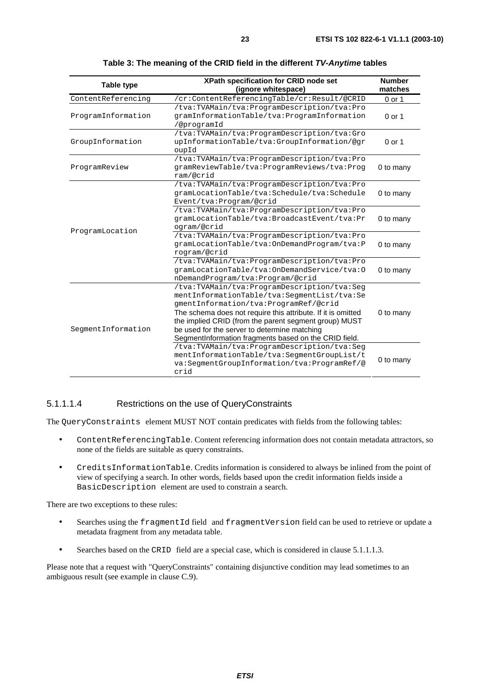<span id="page-22-0"></span>

| <b>Table type</b>  | XPath specification for CRID node set<br>(ignore whitespace)                                                                                                                                                                                                                                                                                                          | <b>Number</b><br>matches |
|--------------------|-----------------------------------------------------------------------------------------------------------------------------------------------------------------------------------------------------------------------------------------------------------------------------------------------------------------------------------------------------------------------|--------------------------|
| ContentReferencing | /cr:ContentReferencingTable/cr:Result/@CRID                                                                                                                                                                                                                                                                                                                           | 0 or 1                   |
| ProgramInformation | /tva:TVAMain/tva:ProgramDescription/tva:Pro<br>gramInformationTable/tva:ProgramInformation<br>/@programId                                                                                                                                                                                                                                                             | $0$ or 1                 |
| GroupInformation   | /tva:TVAMain/tva:ProgramDescription/tva:Gro<br>upInformationTable/tva:GroupInformation/@gr<br>oupId                                                                                                                                                                                                                                                                   | $0$ or 1                 |
| ProgramReview      | /tva:TVAMain/tva:ProgramDescription/tva:Pro<br>gramReviewTable/tva:ProgramReviews/tva:Prog<br>ram/@crid                                                                                                                                                                                                                                                               | 0 to many                |
|                    | /tva:TVAMain/tva:ProgramDescription/tva:Pro<br>gramLocationTable/tva:Schedule/tva:Schedule<br>Event/tva: Program/@crid                                                                                                                                                                                                                                                | 0 to many                |
|                    | /tva:TVAMain/tva:ProgramDescription/tva:Pro<br>gramLocationTable/tva:BroadcastEvent/tva:Pr<br>ogram/@crid                                                                                                                                                                                                                                                             | 0 to many                |
| ProgramLocation    | /tva:TVAMain/tva:ProgramDescription/tva:Pro<br>gramLocationTable/tva:OnDemandProgram/tva:P<br>rogram/@crid                                                                                                                                                                                                                                                            | 0 to many                |
|                    | /tva:TVAMain/tva:ProgramDescription/tva:Pro<br>gramLocationTable/tva:OnDemandService/tva:0<br>nDemandProgram/tva:Program/@crid                                                                                                                                                                                                                                        | 0 to many                |
| SegmentInformation | /tva:TVAMain/tva:ProgramDescription/tva:Seg<br>mentInformationTable/tva:SegmentList/tva:Se<br>qmentInformation/tva:ProgramRef/@crid<br>The schema does not require this attribute. If it is omitted<br>the implied CRID (from the parent segment group) MUST<br>be used for the server to determine matching<br>SegmentInformation fragments based on the CRID field. | 0 to many                |
|                    | /tva:TVAMain/tva:ProgramDescription/tva:Seg<br>mentInformationTable/tva:SeqmentGroupList/t<br>va:SeqmentGroupInformation/tva:ProgramRef/@<br>crid                                                                                                                                                                                                                     | 0 to many                |

**Table 3: The meaning of the CRID field in the different TV-Anytime tables** 

#### 5.1.1.1.4 Restrictions on the use of QueryConstraints

The QueryConstraints element MUST NOT contain predicates with fields from the following tables:

- ContentReferencingTable. Content referencing information does not contain metadata attractors, so none of the fields are suitable as query constraints.
- CreditsInformationTable. Credits information is considered to always be inlined from the point of view of specifying a search. In other words, fields based upon the credit information fields inside a BasicDescription element are used to constrain a search.

There are two exceptions to these rules:

- Searches using the fragmentId field and fragmentVersion field can be used to retrieve or update a metadata fragment from any metadata table.
- Searches based on the CRID field are a special case, which is considered in clause 5.1.1.1.3.

Please note that a request with "QueryConstraints" containing disjunctive condition may lead sometimes to an ambiguous result (see example in clause C.9).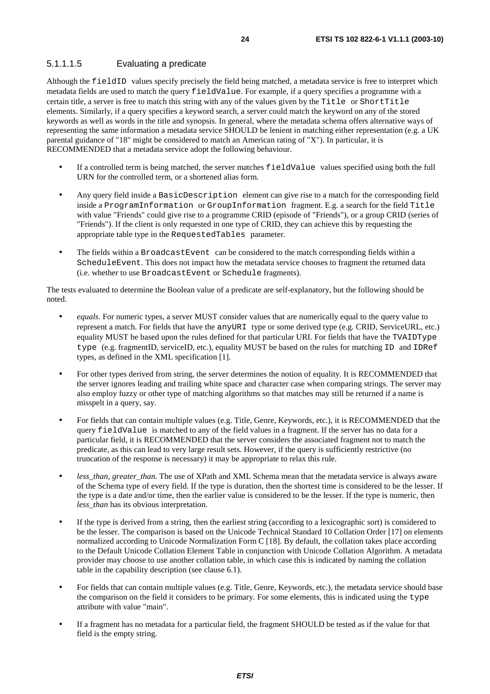#### 5.1.1.1.5 Evaluating a predicate

Although the fieldID values specify precisely the field being matched, a metadata service is free to interpret which metadata fields are used to match the query fieldValue. For example, if a query specifies a programme with a certain title, a server is free to match this string with any of the values given by the Title or ShortTitle elements. Similarly, if a query specifies a keyword search, a server could match the keyword on any of the stored keywords as well as words in the title and synopsis. In general, where the metadata schema offers alternative ways of representing the same information a metadata service SHOULD be lenient in matching either representation (e.g. a UK parental guidance of "18" might be considered to match an American rating of "X"). In particular, it is RECOMMENDED that a metadata service adopt the following behaviour.

- If a controlled term is being matched, the server matches fieldValue values specified using both the full URN for the controlled term, or a shortened alias form.
- Any query field inside a BasicDescription element can give rise to a match for the corresponding field inside a ProgramInformation or GroupInformation fragment. E.g. a search for the field Title with value "Friends" could give rise to a programme CRID (episode of "Friends"), or a group CRID (series of "Friends"). If the client is only requested in one type of CRID, they can achieve this by requesting the appropriate table type in the RequestedTables parameter.
- The fields within a BroadcastEvent can be considered to the match corresponding fields within a ScheduleEvent. This does not impact how the metadata service chooses to fragment the returned data (i.e. whether to use BroadcastEvent or Schedule fragments).

The tests evaluated to determine the Boolean value of a predicate are self-explanatory, but the following should be noted.

- *equals*. For numeric types, a server MUST consider values that are numerically equal to the query value to represent a match. For fields that have the anyURI type or some derived type (e.g. CRID, ServiceURL, etc.) equality MUST be based upon the rules defined for that particular URI. For fields that have the TVAIDType type (e.g. fragmentID, serviceID, etc.), equality MUST be based on the rules for matching ID and IDRef types, as defined in the XML specification [1].
- For other types derived from string, the server determines the notion of equality. It is RECOMMENDED that the server ignores leading and trailing white space and character case when comparing strings. The server may also employ fuzzy or other type of matching algorithms so that matches may still be returned if a name is misspelt in a query, say.
- For fields that can contain multiple values (e.g. Title, Genre, Keywords, etc.), it is RECOMMENDED that the query fieldValue is matched to any of the field values in a fragment. If the server has no data for a particular field, it is RECOMMENDED that the server considers the associated fragment not to match the predicate, as this can lead to very large result sets. However, if the query is sufficiently restrictive (no truncation of the response is necessary) it may be appropriate to relax this rule.
- less than, greater than. The use of XPath and XML Schema mean that the metadata service is always aware of the Schema type of every field. If the type is duration, then the shortest time is considered to be the lesser. If the type is a date and/or time, then the earlier value is considered to be the lesser. If the type is numeric, then *less*\_*than* has its obvious interpretation.
- If the type is derived from a string, then the earliest string (according to a lexicographic sort) is considered to be the lesser. The comparison is based on the Unicode Technical Standard 10 Collation Order [17] on elements normalized according to Unicode Normalization Form C [18]. By default, the collation takes place according to the Default Unicode Collation Element Table in conjunction with Unicode Collation Algorithm. A metadata provider may choose to use another collation table, in which case this is indicated by naming the collation table in the capability description (see clause 6.1).
- For fields that can contain multiple values (e.g. Title, Genre, Keywords, etc.), the metadata service should base the comparison on the field it considers to be primary. For some elements, this is indicated using the type attribute with value "main".
- If a fragment has no metadata for a particular field, the fragment SHOULD be tested as if the value for that field is the empty string.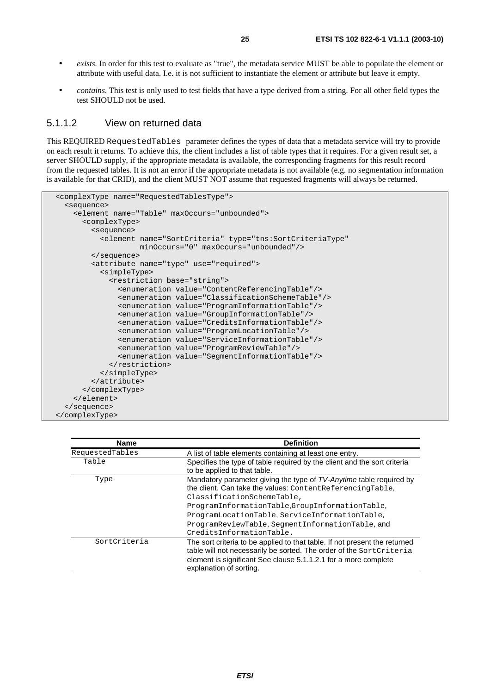- *exists.* In order for this test to evaluate as "true", the metadata service MUST be able to populate the element or attribute with useful data. I.e. it is not sufficient to instantiate the element or attribute but leave it empty.
- *contains*. This test is only used to test fields that have a type derived from a string. For all other field types the test SHOULD not be used.

#### 5.1.1.2 View on returned data

This REQUIRED RequestedTables parameter defines the types of data that a metadata service will try to provide on each result it returns. To achieve this, the client includes a list of table types that it requires. For a given result set, a server SHOULD supply, if the appropriate metadata is available, the corresponding fragments for this result record from the requested tables. It is not an error if the appropriate metadata is not available (e.g. no segmentation information is available for that CRID), and the client MUST NOT assume that requested fragments will always be returned.

```
 <complexType name="RequestedTablesType"> 
   <sequence> 
     <element name="Table" maxOccurs="unbounded"> 
       <complexType> 
         <sequence> 
           <element name="SortCriteria" type="tns:SortCriteriaType" 
                     minOccurs="0" maxOccurs="unbounded"/> 
         </sequence> 
         <attribute name="type" use="required"> 
           <simpleType> 
              <restriction base="string"> 
                <enumeration value="ContentReferencingTable"/> 
                <enumeration value="ClassificationSchemeTable"/> 
                <enumeration value="ProgramInformationTable"/> 
                <enumeration value="GroupInformationTable"/> 
                <enumeration value="CreditsInformationTable"/> 
                <enumeration value="ProgramLocationTable"/> 
                <enumeration value="ServiceInformationTable"/> 
                <enumeration value="ProgramReviewTable"/> 
                <enumeration value="SegmentInformationTable"/> 
              </restriction> 
           </simpleType> 
         </attribute> 
       </complexType> 
     </element> 
   </sequence> 
 </complexType>
```

| <b>Name</b>     | <b>Definition</b>                                                                                                                                                                                                                               |
|-----------------|-------------------------------------------------------------------------------------------------------------------------------------------------------------------------------------------------------------------------------------------------|
| RequestedTables | A list of table elements containing at least one entry.                                                                                                                                                                                         |
| Table           | Specifies the type of table required by the client and the sort criteria<br>to be applied to that table.                                                                                                                                        |
| Type            | Mandatory parameter giving the type of TV-Anytime table required by<br>the client. Can take the values: Content Referencing Table,<br>ClassificationSchemeTable,                                                                                |
|                 | ProgramInformationTable,GroupInformationTable,<br>ProgramLocationTable, ServiceInformationTable,<br>ProgramReviewTable, SeqmentInformationTable, and<br>CreditsInformationTable.                                                                |
| SortCriteria    | The sort criteria to be applied to that table. If not present the returned<br>table will not necessarily be sorted. The order of the SortCriteria<br>element is significant See clause 5.1.1.2.1 for a more complete<br>explanation of sorting. |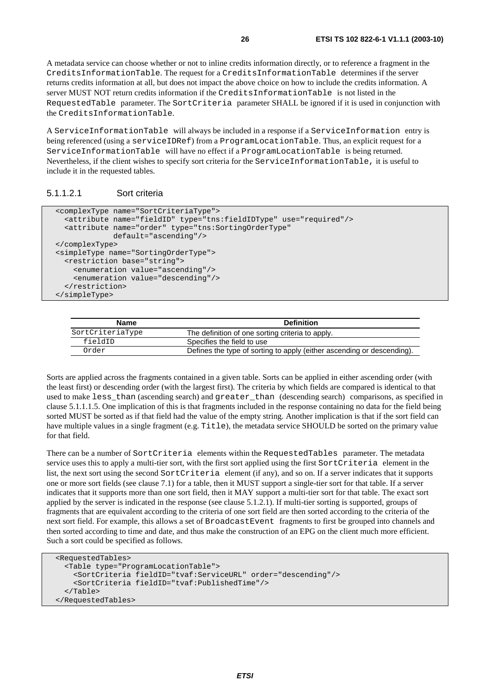A metadata service can choose whether or not to inline credits information directly, or to reference a fragment in the CreditsInformationTable. The request for a CreditsInformationTable determines if the server returns credits information at all, but does not impact the above choice on how to include the credits information. A server MUST NOT return credits information if the CreditsInformationTable is not listed in the RequestedTable parameter. The SortCriteria parameter SHALL be ignored if it is used in conjunction with the CreditsInformationTable.

A ServiceInformationTable will always be included in a response if a ServiceInformation entry is being referenced (using a serviceIDRef) from a ProgramLocationTable. Thus, an explicit request for a ServiceInformationTable will have no effect if a ProgramLocationTable is being returned. Nevertheless, if the client wishes to specify sort criteria for the ServiceInformationTable, it is useful to include it in the requested tables.

#### 5.1.1.2.1 Sort criteria

```
 <complexType name="SortCriteriaType"> 
   <attribute name="fieldID" type="tns:fieldIDType" use="required"/> 
   <attribute name="order" type="tns:SortingOrderType" 
              default="ascending"/> 
 </complexType> 
 <simpleType name="SortingOrderType"> 
   <restriction base="string"> 
     <enumeration value="ascending"/> 
     <enumeration value="descending"/> 
   </restriction> 
 </simpleType>
```

| Name             | <b>Definition</b>                                                      |
|------------------|------------------------------------------------------------------------|
| SortCriteriaType | The definition of one sorting criteria to apply.                       |
| fieldID          | Specifies the field to use                                             |
| Order            | Defines the type of sorting to apply (either ascending or descending). |

Sorts are applied across the fragments contained in a given table. Sorts can be applied in either ascending order (with the least first) or descending order (with the largest first). The criteria by which fields are compared is identical to that used to make less than (ascending search) and greater than (descending search) comparisons, as specified in clause 5.1.1.1.5. One implication of this is that fragments included in the response containing no data for the field being sorted MUST be sorted as if that field had the value of the empty string. Another implication is that if the sort field can have multiple values in a single fragment (e.g. Title), the metadata service SHOULD be sorted on the primary value for that field.

There can be a number of SortCriteria elements within the RequestedTables parameter. The metadata service uses this to apply a multi-tier sort, with the first sort applied using the first SortCriteria element in the list, the next sort using the second SortCriteria element (if any), and so on. If a server indicates that it supports one or more sort fields (see clause 7.1) for a table, then it MUST support a single-tier sort for that table. If a server indicates that it supports more than one sort field, then it MAY support a multi-tier sort for that table. The exact sort applied by the server is indicated in the response (see clause 5.1.2.1). If multi-tier sorting is supported, groups of fragments that are equivalent according to the criteria of one sort field are then sorted according to the criteria of the next sort field. For example, this allows a set of BroadcastEvent fragments to first be grouped into channels and then sorted according to time and date, and thus make the construction of an EPG on the client much more efficient. Such a sort could be specified as follows.

```
 <RequestedTables> 
   <Table type="ProgramLocationTable"> 
     <SortCriteria fieldID="tvaf:ServiceURL" order="descending"/> 
     <SortCriteria fieldID="tvaf:PublishedTime"/> 
   </Table> 
 </RequestedTables>
```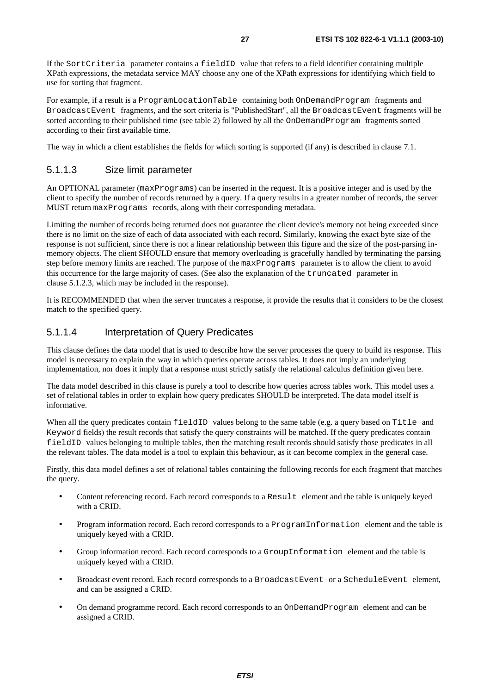If the SortCriteria parameter contains a fieldID value that refers to a field identifier containing multiple XPath expressions, the metadata service MAY choose any one of the XPath expressions for identifying which field to use for sorting that fragment.

For example, if a result is a ProgramLocationTable containing both OnDemandProgram fragments and BroadcastEvent fragments, and the sort criteria is "PublishedStart", all the BroadcastEvent fragments will be sorted according to their published time (see table 2) followed by all the OnDemandProgram fragments sorted according to their first available time.

The way in which a client establishes the fields for which sorting is supported (if any) is described in clause 7.1.

#### 5.1.1.3 Size limit parameter

An OPTIONAL parameter (maxPrograms) can be inserted in the request. It is a positive integer and is used by the client to specify the number of records returned by a query. If a query results in a greater number of records, the server MUST return maxPrograms records, along with their corresponding metadata.

Limiting the number of records being returned does not guarantee the client device's memory not being exceeded since there is no limit on the size of each of data associated with each record. Similarly, knowing the exact byte size of the response is not sufficient, since there is not a linear relationship between this figure and the size of the post-parsing inmemory objects. The client SHOULD ensure that memory overloading is gracefully handled by terminating the parsing step before memory limits are reached. The purpose of the maxPrograms parameter is to allow the client to avoid this occurrence for the large majority of cases. (See also the explanation of the truncated parameter in clause 5.1.2.3, which may be included in the response).

It is RECOMMENDED that when the server truncates a response, it provide the results that it considers to be the closest match to the specified query.

#### 5.1.1.4 Interpretation of Query Predicates

This clause defines the data model that is used to describe how the server processes the query to build its response. This model is necessary to explain the way in which queries operate across tables. It does not imply an underlying implementation, nor does it imply that a response must strictly satisfy the relational calculus definition given here.

The data model described in this clause is purely a tool to describe how queries across tables work. This model uses a set of relational tables in order to explain how query predicates SHOULD be interpreted. The data model itself is informative.

When all the query predicates contain fieldID values belong to the same table (e.g. a query based on Title and Keyword fields) the result records that satisfy the query constraints will be matched. If the query predicates contain fieldID values belonging to multiple tables, then the matching result records should satisfy those predicates in all the relevant tables. The data model is a tool to explain this behaviour, as it can become complex in the general case.

Firstly, this data model defines a set of relational tables containing the following records for each fragment that matches the query.

- Content referencing record. Each record corresponds to a Result element and the table is uniquely keyed with a CRID.
- Program information record. Each record corresponds to a ProgramInformation element and the table is uniquely keyed with a CRID.
- Group information record. Each record corresponds to a GroupInformation element and the table is uniquely keyed with a CRID.
- Broadcast event record. Each record corresponds to a BroadcastEvent or a ScheduleEvent element, and can be assigned a CRID.
- On demand programme record. Each record corresponds to an OnDemandProgram element and can be assigned a CRID.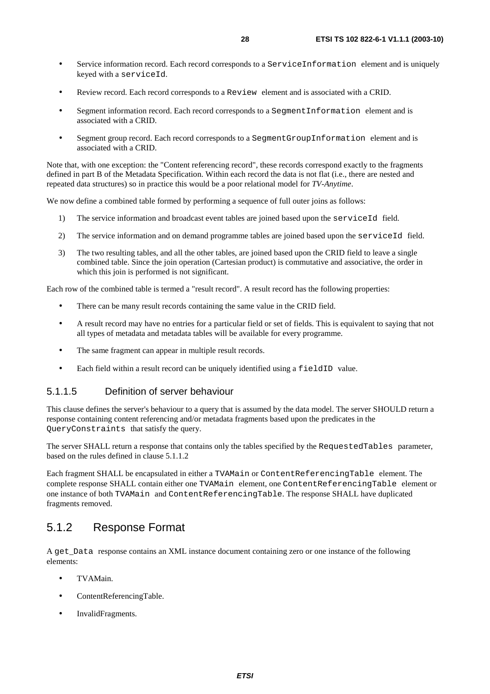- Service information record. Each record corresponds to a ServiceInformation element and is uniquely keyed with a serviceId.
- Review record. Each record corresponds to a Review element and is associated with a CRID.
- Segment information record. Each record corresponds to a SegmentInformation element and is associated with a CRID.
- Segment group record. Each record corresponds to a SegmentGroupInformation element and is associated with a CRID.

Note that, with one exception: the "Content referencing record", these records correspond exactly to the fragments defined in part B of the Metadata Specification. Within each record the data is not flat (i.e., there are nested and repeated data structures) so in practice this would be a poor relational model for *TV-Anytime*.

We now define a combined table formed by performing a sequence of full outer joins as follows:

- 1) The service information and broadcast event tables are joined based upon the serviceId field.
- 2) The service information and on demand programme tables are joined based upon the serviceId field.
- 3) The two resulting tables, and all the other tables, are joined based upon the CRID field to leave a single combined table. Since the join operation (Cartesian product) is commutative and associative, the order in which this join is performed is not significant.

Each row of the combined table is termed a "result record". A result record has the following properties:

- There can be many result records containing the same value in the CRID field.
- A result record may have no entries for a particular field or set of fields. This is equivalent to saying that not all types of metadata and metadata tables will be available for every programme.
- The same fragment can appear in multiple result records.
- Each field within a result record can be uniquely identified using a fieldID value.

#### 5.1.1.5 Definition of server behaviour

This clause defines the server's behaviour to a query that is assumed by the data model. The server SHOULD return a response containing content referencing and/or metadata fragments based upon the predicates in the QueryConstraints that satisfy the query.

The server SHALL return a response that contains only the tables specified by the RequestedTables parameter, based on the rules defined in clause 5.1.1.2

Each fragment SHALL be encapsulated in either a TVAMain or ContentReferencingTable element. The complete response SHALL contain either one TVAMain element, one ContentReferencingTable element or one instance of both TVAMain and ContentReferencingTable. The response SHALL have duplicated fragments removed.

#### 5.1.2 Response Format

A get\_Data response contains an XML instance document containing zero or one instance of the following elements:

- TVAMain.
- ContentReferencingTable.
- InvalidFragments.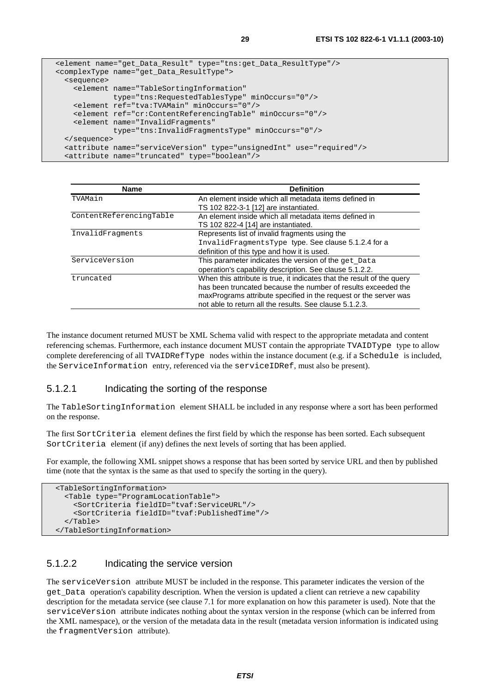```
 <element name="get_Data_Result" type="tns:get_Data_ResultType"/> 
 <complexType name="get_Data_ResultType"> 
   <sequence> 
     <element name="TableSortingInformation" 
              type="tns:RequestedTablesType" minOccurs="0"/> 
     <element ref="tva:TVAMain" minOccurs="0"/> 
     <element ref="cr:ContentReferencingTable" minOccurs="0"/> 
     <element name="InvalidFragments" 
              type="tns:InvalidFragmentsType" minOccurs="0"/> 
   </sequence> 
   <attribute name="serviceVersion" type="unsignedInt" use="required"/> 
   <attribute name="truncated" type="boolean"/>
```

| <b>Name</b>             | <b>Definition</b>                                                      |
|-------------------------|------------------------------------------------------------------------|
| TVAMain                 | An element inside which all metadata items defined in                  |
|                         | TS 102 822-3-1 [12] are instantiated.                                  |
| ContentReferencingTable | An element inside which all metadata items defined in                  |
|                         | TS 102 822-4 [14] are instantiated.                                    |
| InvalidFragments        | Represents list of invalid fragments using the                         |
|                         | InvalidFragmentsType type. See clause 5.1.2.4 for a                    |
|                         | definition of this type and how it is used.                            |
| ServiceVersion          | This parameter indicates the version of the get_Data                   |
|                         | operation's capability description. See clause 5.1.2.2.                |
| truncated               | When this attribute is true, it indicates that the result of the query |
|                         | has been truncated because the number of results exceeded the          |
|                         | maxPrograms attribute specified in the request or the server was       |
|                         | not able to return all the results. See clause 5.1.2.3.                |

The instance document returned MUST be XML Schema valid with respect to the appropriate metadata and content referencing schemas. Furthermore, each instance document MUST contain the appropriate TVAIDType type to allow complete dereferencing of all TVAIDRefType nodes within the instance document (e.g. if a Schedule is included, the ServiceInformation entry, referenced via the serviceIDRef, must also be present).

#### 5.1.2.1 Indicating the sorting of the response

The TableSortingInformation element SHALL be included in any response where a sort has been performed on the response.

The first SortCriteria element defines the first field by which the response has been sorted. Each subsequent SortCriteria element (if any) defines the next levels of sorting that has been applied.

For example, the following XML snippet shows a response that has been sorted by service URL and then by published time (note that the syntax is the same as that used to specify the sorting in the query).

```
 <TableSortingInformation> 
   <Table type="ProgramLocationTable"> 
     <SortCriteria fieldID="tvaf:ServiceURL"/> 
     <SortCriteria fieldID="tvaf:PublishedTime"/> 
  \langleTable\rangle </TableSortingInformation>
```
#### 5.1.2.2 Indicating the service version

The serviceVersion attribute MUST be included in the response. This parameter indicates the version of the get\_Data operation's capability description. When the version is updated a client can retrieve a new capability description for the metadata service (see clause 7.1 for more explanation on how this parameter is used). Note that the serviceVersion attribute indicates nothing about the syntax version in the response (which can be inferred from the XML namespace), or the version of the metadata data in the result (metadata version information is indicated using the fragmentVersion attribute).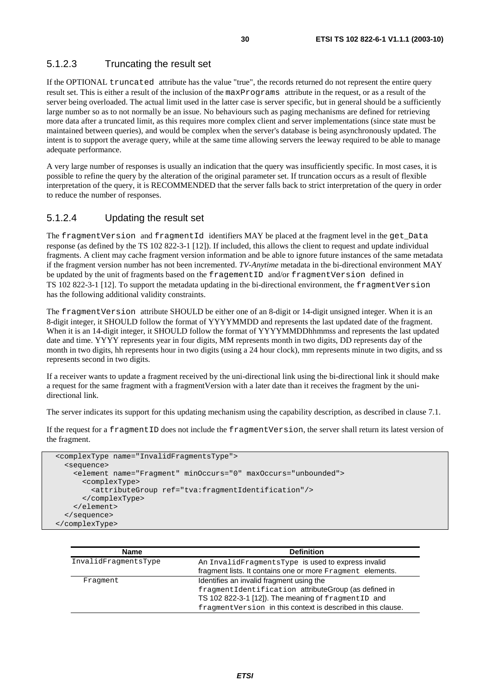#### 5.1.2.3 Truncating the result set

If the OPTIONAL truncated attribute has the value "true", the records returned do not represent the entire query result set. This is either a result of the inclusion of the maxPrograms attribute in the request, or as a result of the server being overloaded. The actual limit used in the latter case is server specific, but in general should be a sufficiently large number so as to not normally be an issue. No behaviours such as paging mechanisms are defined for retrieving more data after a truncated limit, as this requires more complex client and server implementations (since state must be maintained between queries), and would be complex when the server's database is being asynchronously updated. The intent is to support the average query, while at the same time allowing servers the leeway required to be able to manage adequate performance.

A very large number of responses is usually an indication that the query was insufficiently specific. In most cases, it is possible to refine the query by the alteration of the original parameter set. If truncation occurs as a result of flexible interpretation of the query, it is RECOMMENDED that the server falls back to strict interpretation of the query in order to reduce the number of responses.

#### 5.1.2.4 Updating the result set

The fragmentVersion and fragmentId identifiers MAY be placed at the fragment level in the get Data response (as defined by the TS 102 822-3-1 [12]). If included, this allows the client to request and update individual fragments. A client may cache fragment version information and be able to ignore future instances of the same metadata if the fragment version number has not been incremented. *TV-Anytime* metadata in the bi-directional environment MAY be updated by the unit of fragments based on the fragementID and/or fragmentVersion defined in TS 102 822-3-1 [12]. To support the metadata updating in the bi-directional environment, the fragmentVersion has the following additional validity constraints.

The fragmentVersion attribute SHOULD be either one of an 8-digit or 14-digit unsigned integer. When it is an 8-digit integer, it SHOULD follow the format of YYYYMMDD and represents the last updated date of the fragment. When it is an 14-digit integer, it SHOULD follow the format of YYYYMMDDhhmmss and represents the last updated date and time. YYYY represents year in four digits, MM represents month in two digits, DD represents day of the month in two digits, hh represents hour in two digits (using a 24 hour clock), mm represents minute in two digits, and ss represents second in two digits.

If a receiver wants to update a fragment received by the uni-directional link using the bi-directional link it should make a request for the same fragment with a fragmentVersion with a later date than it receives the fragment by the unidirectional link.

The server indicates its support for this updating mechanism using the capability description, as described in clause 7.1.

If the request for a fragmentID does not include the fragmentVersion, the server shall return its latest version of the fragment.

```
 <complexType name="InvalidFragmentsType"> 
   <sequence> 
     <element name="Fragment" minOccurs="0" maxOccurs="unbounded"> 
       <complexType> 
         <attributeGroup ref="tva:fragmentIdentification"/> 
       </complexType> 
     </element> 
   </sequence> 
 </complexType>
```

| <b>Name</b>          | <b>Definition</b>                                             |
|----------------------|---------------------------------------------------------------|
| InvalidFragmentsType | An InvalidFragmentsType is used to express invalid            |
|                      | fragment lists. It contains one or more Fragment elements.    |
| Fraqment             | Identifies an invalid fragment using the                      |
|                      | fragmentIdentification attributeGroup (as defined in          |
|                      | TS 102 822-3-1 [12]). The meaning of fragmentID and           |
|                      | fragment Version in this context is described in this clause. |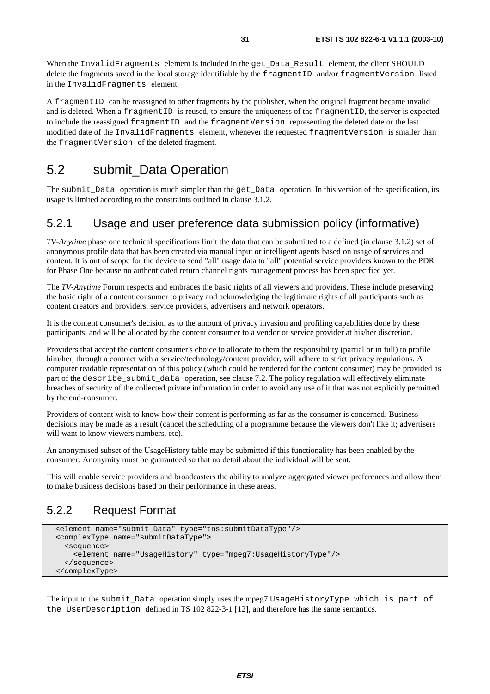When the InvalidFragments element is included in the get\_Data\_Result element, the client SHOULD delete the fragments saved in the local storage identifiable by the fragmentID and/or fragmentVersion listed in the InvalidFragments element.

A fragmentID can be reassigned to other fragments by the publisher, when the original fragment became invalid and is deleted. When a fragmentID is reused, to ensure the uniqueness of the fragmentID, the server is expected to include the reassigned fragmentID and the fragmentVersion representing the deleted date or the last modified date of the InvalidFragments element, whenever the requested fragmentVersion is smaller than the fragmentVersion of the deleted fragment.

### 5.2 submit\_Data Operation

The submit Data operation is much simpler than the get Data operation. In this version of the specification, its usage is limited according to the constraints outlined in clause 3.1.2.

#### 5.2.1 Usage and user preference data submission policy (informative)

*TV-Anytime* phase one technical specifications limit the data that can be submitted to a defined (in clause 3.1.2) set of anonymous profile data that has been created via manual input or intelligent agents based on usage of services and content. It is out of scope for the device to send "all" usage data to "all" potential service providers known to the PDR for Phase One because no authenticated return channel rights management process has been specified yet.

The *TV-Anytime* Forum respects and embraces the basic rights of all viewers and providers. These include preserving the basic right of a content consumer to privacy and acknowledging the legitimate rights of all participants such as content creators and providers, service providers, advertisers and network operators.

It is the content consumer's decision as to the amount of privacy invasion and profiling capabilities done by these participants, and will be allocated by the content consumer to a vendor or service provider at his/her discretion.

Providers that accept the content consumer's choice to allocate to them the responsibility (partial or in full) to profile him/her, through a contract with a service/technology/content provider, will adhere to strict privacy regulations. A computer readable representation of this policy (which could be rendered for the content consumer) may be provided as part of the describe\_submit\_data operation, see clause 7.2. The policy regulation will effectively eliminate breaches of security of the collected private information in order to avoid any use of it that was not explicitly permitted by the end-consumer.

Providers of content wish to know how their content is performing as far as the consumer is concerned. Business decisions may be made as a result (cancel the scheduling of a programme because the viewers don't like it; advertisers will want to know viewers numbers, etc).

An anonymised subset of the UsageHistory table may be submitted if this functionality has been enabled by the consumer. Anonymity must be guaranteed so that no detail about the individual will be sent.

This will enable service providers and broadcasters the ability to analyze aggregated viewer preferences and allow them to make business decisions based on their performance in these areas.

### 5.2.2 Request Format

```
 <element name="submit_Data" type="tns:submitDataType"/> 
 <complexType name="submitDataType"> 
   <sequence> 
     <element name="UsageHistory" type="mpeg7:UsageHistoryType"/> 
   </sequence> 
 </complexType>
```
The input to the submit Data operation simply uses the mpeg7:UsageHistoryType which is part of the UserDescription defined in TS 102 822-3-1 [12], and therefore has the same semantics.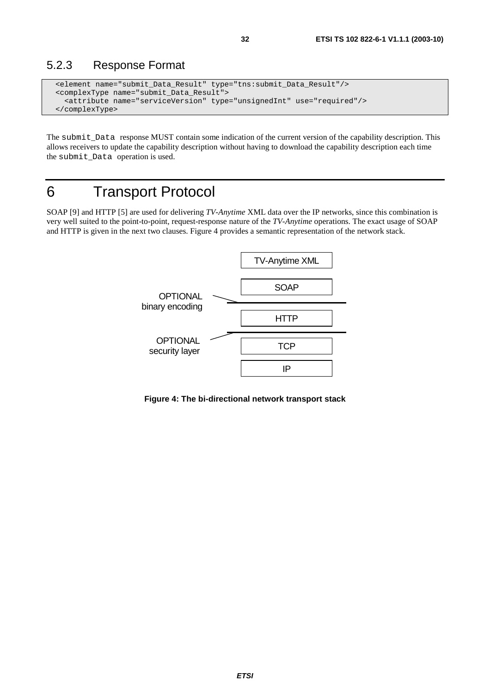### <span id="page-31-0"></span>5.2.3 Response Format

```
 <element name="submit_Data_Result" type="tns:submit_Data_Result"/> 
 <complexType name="submit_Data_Result"> 
   <attribute name="serviceVersion" type="unsignedInt" use="required"/> 
 </complexType>
```
The submit\_Data response MUST contain some indication of the current version of the capability description. This allows receivers to update the capability description without having to download the capability description each time the submit\_Data operation is used.

## 6 Transport Protocol

SOAP [9] and HTTP [5] are used for delivering *TV-Anytime* XML data over the IP networks, since this combination is very well suited to the point-to-point, request-response nature of the *TV-Anytime* operations. The exact usage of SOAP and HTTP is given in the next two clauses. Figure 4 provides a semantic representation of the network stack.



**Figure 4: The bi-directional network transport stack**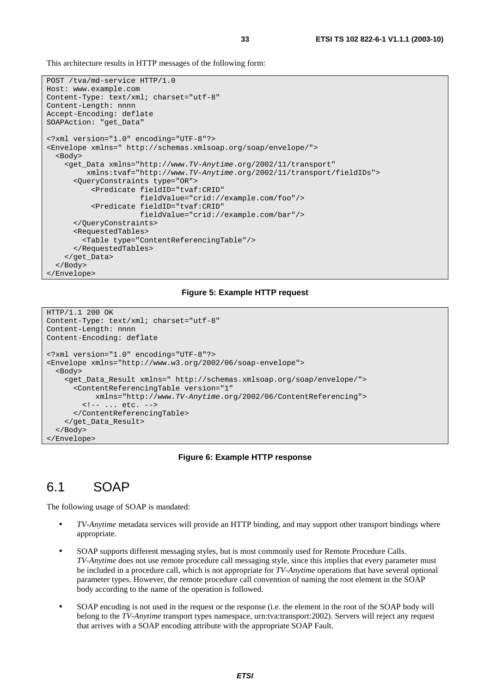<span id="page-32-0"></span>This architecture results in HTTP messages of the following form:

```
POST /tva/md-service HTTP/1.0 
Host: www.example.com 
Content-Type: text/xml; charset="utf-8" 
Content-Length: nnnn 
Accept-Encoding: deflate 
SOAPAction: "get_Data" 
<?xml version="1.0" encoding="UTF-8"?> 
<Envelope xmlns=" http://schemas.xmlsoap.org/soap/envelope/"> 
   <Body> 
     <get_Data xmlns="http://www.TV-Anytime.org/2002/11/transport" 
          xmlns:tvaf="http://www.TV-Anytime.org/2002/11/transport/fieldIDs"> 
       <QueryConstraints type="OR"> 
           <Predicate fieldID="tvaf:CRID" 
                       fieldValue="crid://example.com/foo"/> 
           <Predicate fieldID="tvaf:CRID" 
                       fieldValue="crid://example.com/bar"/> 
       </QueryConstraints> 
       <RequestedTables> 
         <Table type="ContentReferencingTable"/> 
       </RequestedTables> 
     </get_Data> 
   </Body> 
</Envelope>
```
#### **Figure 5: Example HTTP request**

```
HTTP/1.1 200 OK 
Content-Type: text/xml; charset="utf-8" 
Content-Length: nnnn 
Content-Encoding: deflate 
<?xml version="1.0" encoding="UTF-8"?> 
<Envelope xmlns="http://www.w3.org/2002/06/soap-envelope"> 
   <Body> 
     <get_Data_Result xmlns=" http://schemas.xmlsoap.org/soap/envelope/"> 
       <ContentReferencingTable version="1" 
            xmlns="http://www.TV-Anytime.org/2002/06/ContentReferencing"> 
         <!-- ... etc. --> 
       </ContentReferencingTable> 
     </get_Data_Result> 
   </Body> 
</Envelope>
```
#### **Figure 6: Example HTTP response**

### 6.1 SOAP

The following usage of SOAP is mandated:

- *TV-Anytime* metadata services will provide an HTTP binding, and may support other transport bindings where appropriate.
- SOAP supports different messaging styles, but is most commonly used for Remote Procedure Calls. *TV-Anytime* does not use remote procedure call messaging style, since this implies that every parameter must be included in a procedure call, which is not appropriate for *TV-Anytime* operations that have several optional parameter types. However, the remote procedure call convention of naming the root element in the SOAP body according to the name of the operation is followed.
- SOAP encoding is not used in the request or the response (i.e. the element in the root of the SOAP body will belong to the *TV-Anytime* transport types namespace, urn:tva:transport:2002). Servers will reject any request that arrives with a SOAP encoding attribute with the appropriate SOAP Fault.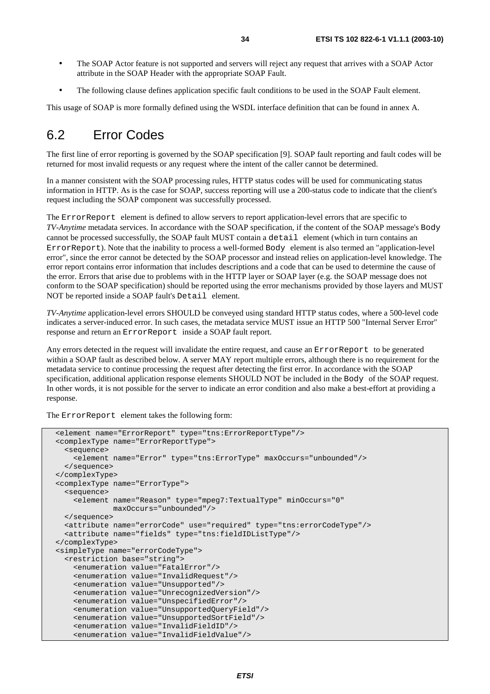- The SOAP Actor feature is not supported and servers will reject any request that arrives with a SOAP Actor attribute in the SOAP Header with the appropriate SOAP Fault.
- The following clause defines application specific fault conditions to be used in the SOAP Fault element.

This usage of SOAP is more formally defined using the WSDL interface definition that can be found in annex A.

### 6.2 Error Codes

The first line of error reporting is governed by the SOAP specification [9]. SOAP fault reporting and fault codes will be returned for most invalid requests or any request where the intent of the caller cannot be determined.

In a manner consistent with the SOAP processing rules, HTTP status codes will be used for communicating status information in HTTP. As is the case for SOAP, success reporting will use a 200-status code to indicate that the client's request including the SOAP component was successfully processed.

The ErrorReport element is defined to allow servers to report application-level errors that are specific to *TV-Anytime* metadata services. In accordance with the SOAP specification, if the content of the SOAP message's Body cannot be processed successfully, the SOAP fault MUST contain a detail element (which in turn contains an ErrorReport). Note that the inability to process a well-formed Body element is also termed an "application-level error", since the error cannot be detected by the SOAP processor and instead relies on application-level knowledge. The error report contains error information that includes descriptions and a code that can be used to determine the cause of the error. Errors that arise due to problems with in the HTTP layer or SOAP layer (e.g. the SOAP message does not conform to the SOAP specification) should be reported using the error mechanisms provided by those layers and MUST NOT be reported inside a SOAP fault's Detail element.

*TV-Anytime* application-level errors SHOULD be conveyed using standard HTTP status codes, where a 500-level code indicates a server-induced error. In such cases, the metadata service MUST issue an HTTP 500 "Internal Server Error" response and return an ErrorReport inside a SOAP fault report.

Any errors detected in the request will invalidate the entire request, and cause an ErrorReport to be generated within a SOAP fault as described below. A server MAY report multiple errors, although there is no requirement for the metadata service to continue processing the request after detecting the first error. In accordance with the SOAP specification, additional application response elements SHOULD NOT be included in the Body of the SOAP request. In other words, it is not possible for the server to indicate an error condition and also make a best-effort at providing a response.

The ErrorReport element takes the following form:

```
 <element name="ErrorReport" type="tns:ErrorReportType"/> 
 <complexType name="ErrorReportType"> 
  <sequence> 
     <element name="Error" type="tns:ErrorType" maxOccurs="unbounded"/> 
   </sequence> 
 </complexType> 
 <complexType name="ErrorType"> 
   <sequence> 
     <element name="Reason" type="mpeg7:TextualType" minOccurs="0" 
              maxOccurs="unbounded"/> 
   </sequence> 
   <attribute name="errorCode" use="required" type="tns:errorCodeType"/> 
   <attribute name="fields" type="tns:fieldIDListType"/> 
 </complexType> 
 <simpleType name="errorCodeType"> 
   <restriction base="string"> 
     <enumeration value="FatalError"/> 
     <enumeration value="InvalidRequest"/> 
     <enumeration value="Unsupported"/> 
     <enumeration value="UnrecognizedVersion"/> 
     <enumeration value="UnspecifiedError"/> 
     <enumeration value="UnsupportedQueryField"/> 
     <enumeration value="UnsupportedSortField"/> 
     <enumeration value="InvalidFieldID"/> 
     <enumeration value="InvalidFieldValue"/>
```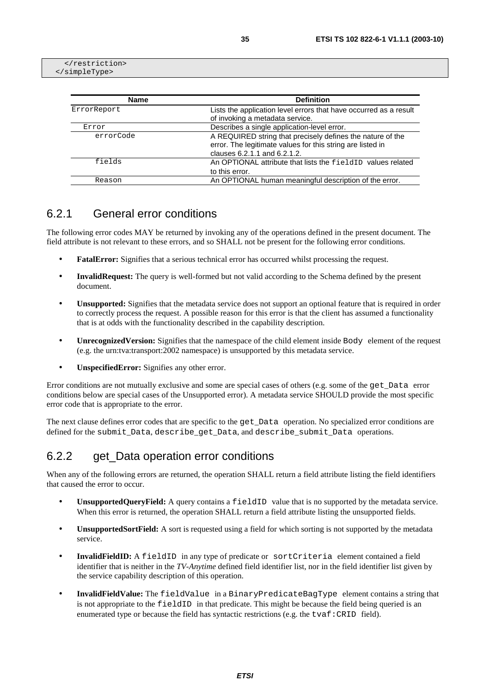</restriction> </simpleType>

| <b>Name</b> | <b>Definition</b>                                                 |
|-------------|-------------------------------------------------------------------|
| ErrorReport | Lists the application level errors that have occurred as a result |
|             | of invoking a metadata service.                                   |
| Error       | Describes a single application-level error.                       |
| errorCode   | A REQUIRED string that precisely defines the nature of the        |
|             | error. The legitimate values for this string are listed in        |
|             | clauses 6.2.1.1 and 6.2.1.2.                                      |
| fields      | An OPTIONAL attribute that lists the fieldID values related       |
|             | to this error.                                                    |
| Reason      | An OPTIONAL human meaningful description of the error.            |

### 6.2.1 General error conditions

The following error codes MAY be returned by invoking any of the operations defined in the present document. The field attribute is not relevant to these errors, and so SHALL not be present for the following error conditions.

- **FatalError:** Signifies that a serious technical error has occurred whilst processing the request.
- **InvalidRequest:** The query is well-formed but not valid according to the Schema defined by the present document.
- **Unsupported:** Signifies that the metadata service does not support an optional feature that is required in order to correctly process the request. A possible reason for this error is that the client has assumed a functionality that is at odds with the functionality described in the capability description.
- **Unrecognized Version:** Signifies that the namespace of the child element inside Body element of the request (e.g. the urn:tva:transport:2002 namespace) is unsupported by this metadata service.
- **UnspecifiedError:** Signifies any other error.

Error conditions are not mutually exclusive and some are special cases of others (e.g. some of the get\_Data error conditions below are special cases of the Unsupported error). A metadata service SHOULD provide the most specific error code that is appropriate to the error.

The next clause defines error codes that are specific to the get\_Data operation. No specialized error conditions are defined for the submit\_Data, describe\_get\_Data, and describe\_submit\_Data operations.

### 6.2.2 get Data operation error conditions

When any of the following errors are returned, the operation SHALL return a field attribute listing the field identifiers that caused the error to occur.

- **UnsupportedOueryField:** A query contains a fieldID value that is no supported by the metadata service. When this error is returned, the operation SHALL return a field attribute listing the unsupported fields.
- **UnsupportedSortField:** A sort is requested using a field for which sorting is not supported by the metadata service.
- **InvalidFieldID:** A fieldID in any type of predicate or sortCriteria element contained a field identifier that is neither in the *TV-Anytime* defined field identifier list, nor in the field identifier list given by the service capability description of this operation.
- **InvalidFieldValue:** The fieldValue in a BinaryPredicateBagType element contains a string that is not appropriate to the fieldID in that predicate. This might be because the field being queried is an enumerated type or because the field has syntactic restrictions (e.g. the tvaf:CRID field).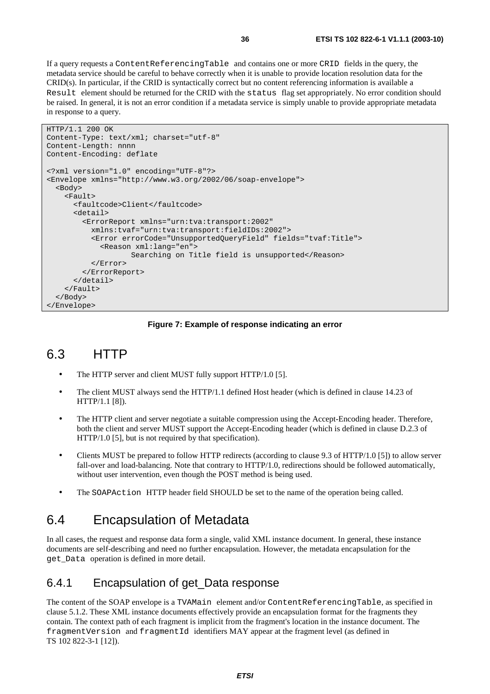<span id="page-35-0"></span>If a query requests a ContentReferencingTable and contains one or more CRID fields in the query, the metadata service should be careful to behave correctly when it is unable to provide location resolution data for the CRID(s). In particular, if the CRID is syntactically correct but no content referencing information is available a Result element should be returned for the CRID with the status flag set appropriately. No error condition should be raised. In general, it is not an error condition if a metadata service is simply unable to provide appropriate metadata in response to a query.

```
HTTP/1.1 200 OK 
Content-Type: text/xml; charset="utf-8" 
Content-Length: nnnn 
Content-Encoding: deflate 
<?xml version="1.0" encoding="UTF-8"?> 
<Envelope xmlns="http://www.w3.org/2002/06/soap-envelope"> 
   <Body> 
     <Fault> 
       <faultcode>Client</faultcode> 
       <detail> 
          <ErrorReport xmlns="urn:tva:transport:2002" 
           xmlns:tvaf="urn:tva:transport:fieldIDs:2002"> 
            <Error errorCode="UnsupportedQueryField" fields="tvaf:Title"> 
              <Reason xml:lang="en"> 
                     Searching on Title field is unsupported</Reason> 
            </Error> 
         </ErrorReport> 
       </detail> 
     </Fault> 
   </Body> 
</Envelope>
```
#### **Figure 7: Example of response indicating an error**

### 6.3 HTTP

- The HTTP server and client MUST fully support HTTP/1.0 [5].
- The client MUST always send the HTTP/1.1 defined Host header (which is defined in clause 14.23 of HTTP/1.1 [8]).
- The HTTP client and server negotiate a suitable compression using the Accept-Encoding header. Therefore, both the client and server MUST support the Accept-Encoding header (which is defined in clause D.2.3 of HTTP/1.0 [5], but is not required by that specification).
- Clients MUST be prepared to follow HTTP redirects (according to clause 9.3 of HTTP/1.0 [5]) to allow server fall-over and load-balancing. Note that contrary to HTTP/1.0, redirections should be followed automatically, without user intervention, even though the POST method is being used.
- The SOAPAction HTTP header field SHOULD be set to the name of the operation being called.

### 6.4 Encapsulation of Metadata

In all cases, the request and response data form a single, valid XML instance document. In general, these instance documents are self-describing and need no further encapsulation. However, the metadata encapsulation for the get\_Data operation is defined in more detail.

#### 6.4.1 Encapsulation of get\_Data response

The content of the SOAP envelope is a TVAMain element and/or ContentReferencingTable, as specified in clause 5.1.2. These XML instance documents effectively provide an encapsulation format for the fragments they contain. The context path of each fragment is implicit from the fragment's location in the instance document. The fragmentVersion and fragmentId identifiers MAY appear at the fragment level (as defined in TS 102 822-3-1 [12]).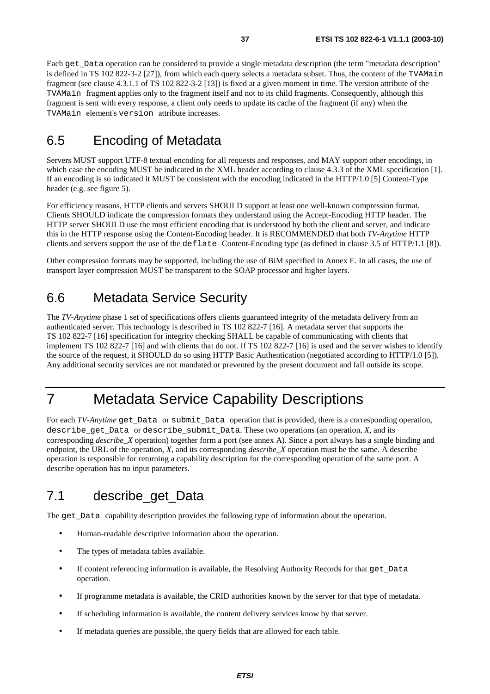Each get\_Data operation can be considered to provide a single metadata description (the term "metadata description" is defined in TS 102 822-3-2 [27]), from which each query selects a metadata subset. Thus, the content of the TVAMain fragment (see clause 4.3.1.1 of TS 102 822-3-2 [13]) is fixed at a given moment in time. The version attribute of the TVAMain fragment applies only to the fragment itself and not to its child fragments. Consequently, although this fragment is sent with every response, a client only needs to update its cache of the fragment (if any) when the TVAMain element's version attribute increases.

## 6.5 Encoding of Metadata

Servers MUST support UTF-8 textual encoding for all requests and responses, and MAY support other encodings, in which case the encoding MUST be indicated in the XML header according to clause 4.3.3 of the XML specification [1]. If an encoding is so indicated it MUST be consistent with the encoding indicated in the HTTP/1.0 [5] Content-Type header (e.g. see figure 5).

For efficiency reasons, HTTP clients and servers SHOULD support at least one well-known compression format. Clients SHOULD indicate the compression formats they understand using the Accept-Encoding HTTP header. The HTTP server SHOULD use the most efficient encoding that is understood by both the client and server, and indicate this in the HTTP response using the Content-Encoding header. It is RECOMMENDED that both *TV-Anytime* HTTP clients and servers support the use of the deflate Content-Encoding type (as defined in clause 3.5 of HTTP/1.1 [8]).

Other compression formats may be supported, including the use of BiM specified in Annex E. In all cases, the use of transport layer compression MUST be transparent to the SOAP processor and higher layers.

## 6.6 Metadata Service Security

The *TV-Anytime* phase 1 set of specifications offers clients guaranteed integrity of the metadata delivery from an authenticated server. This technology is described in TS 102 822-7 [16]. A metadata server that supports the TS 102 822-7 [16] specification for integrity checking SHALL be capable of communicating with clients that implement TS 102 822-7 [16] and with clients that do not. If TS 102 822-7 [16] is used and the server wishes to identify the source of the request, it SHOULD do so using HTTP Basic Authentication (negotiated according to HTTP/1.0 [5]). Any additional security services are not mandated or prevented by the present document and fall outside its scope.

## 7 Metadata Service Capability Descriptions

For each *TV-Anytime* get Data or submit Data operation that is provided, there is a corresponding operation, describe get Data or describe submit Data. These two operations (an operation, *X*, and its corresponding *describe*\_*X* operation) together form a port (see annex A). Since a port always has a single binding and endpoint, the URL of the operation, *X*, and its corresponding *describe\_X* operation must be the same. A describe operation is responsible for returning a capability description for the corresponding operation of the same port. A describe operation has no input parameters.

### 7.1 describe\_get\_Data

The get\_Data capability description provides the following type of information about the operation.

- Human-readable descriptive information about the operation.
- The types of metadata tables available.
- If content referencing information is available, the Resolving Authority Records for that get\_Data operation.
- If programme metadata is available, the CRID authorities known by the server for that type of metadata.
- If scheduling information is available, the content delivery services know by that server.
- If metadata queries are possible, the query fields that are allowed for each table.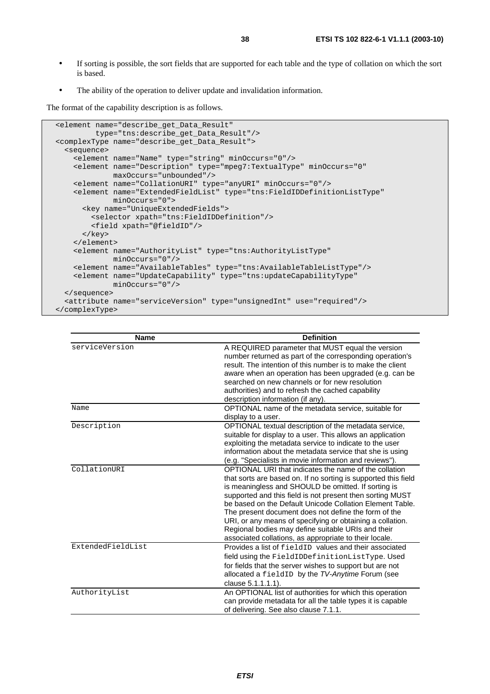- If sorting is possible, the sort fields that are supported for each table and the type of collation on which the sort is based.
- The ability of the operation to deliver update and invalidation information.

The format of the capability description is as follows.

```
 <element name="describe_get_Data_Result" 
          type="tns:describe_get_Data_Result"/> 
 <complexType name="describe_get_Data_Result"> 
   <sequence> 
     <element name="Name" type="string" minOccurs="0"/> 
     <element name="Description" type="mpeg7:TextualType" minOccurs="0" 
              maxOccurs="unbounded"/> 
     <element name="CollationURI" type="anyURI" minOccurs="0"/> 
     <element name="ExtendedFieldList" type="tns:FieldIDDefinitionListType" 
              minOccurs="0"> 
       <key name="UniqueExtendedFields"> 
         <selector xpath="tns:FieldIDDefinition"/> 
         <field xpath="@fieldID"/> 
       </key> 
     </element> 
     <element name="AuthorityList" type="tns:AuthorityListType" 
             minOccurs="0"/> 
     <element name="AvailableTables" type="tns:AvailableTableListType"/> 
     <element name="UpdateCapability" type="tns:updateCapabilityType" 
              minOccurs="0"/> 
   </sequence> 
   <attribute name="serviceVersion" type="unsignedInt" use="required"/> 
 </complexType>
```

| <b>Name</b>       | <b>Definition</b>                                                                                                                                                                                                                                                                                                                                                                                                                                                                                                                            |
|-------------------|----------------------------------------------------------------------------------------------------------------------------------------------------------------------------------------------------------------------------------------------------------------------------------------------------------------------------------------------------------------------------------------------------------------------------------------------------------------------------------------------------------------------------------------------|
| serviceVersion    | A REQUIRED parameter that MUST equal the version<br>number returned as part of the corresponding operation's<br>result. The intention of this number is to make the client<br>aware when an operation has been upgraded (e.g. can be<br>searched on new channels or for new resolution<br>authorities) and to refresh the cached capability<br>description information (if any).                                                                                                                                                             |
| Name              | OPTIONAL name of the metadata service, suitable for<br>display to a user.                                                                                                                                                                                                                                                                                                                                                                                                                                                                    |
| Description       | OPTIONAL textual description of the metadata service,<br>suitable for display to a user. This allows an application<br>exploiting the metadata service to indicate to the user<br>information about the metadata service that she is using<br>(e.g. "Specialists in movie information and reviews").                                                                                                                                                                                                                                         |
| CollationURI      | OPTIONAL URI that indicates the name of the collation<br>that sorts are based on. If no sorting is supported this field<br>is meaningless and SHOULD be omitted. If sorting is<br>supported and this field is not present then sorting MUST<br>be based on the Default Unicode Collation Element Table.<br>The present document does not define the form of the<br>URI, or any means of specifying or obtaining a collation.<br>Regional bodies may define suitable URIs and their<br>associated collations, as appropriate to their locale. |
| ExtendedFieldList | Provides a list of field ID values and their associated<br>field using the FieldIDDefinitionListType. Used<br>for fields that the server wishes to support but are not<br>allocated a fieldID by the TV-Anytime Forum (see<br>clause 5.1.1.1.1).                                                                                                                                                                                                                                                                                             |
| AuthorityList     | An OPTIONAL list of authorities for which this operation<br>can provide metadata for all the table types it is capable<br>of delivering. See also clause 7.1.1.                                                                                                                                                                                                                                                                                                                                                                              |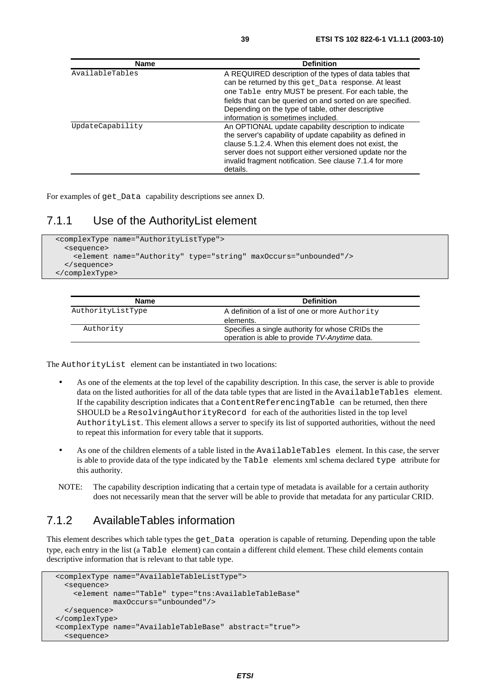| <b>Name</b>      | <b>Definition</b>                                                                                                                                                                                                                                                                                               |
|------------------|-----------------------------------------------------------------------------------------------------------------------------------------------------------------------------------------------------------------------------------------------------------------------------------------------------------------|
| AvailableTables  | A REQUIRED description of the types of data tables that<br>can be returned by this get_Data response. At least<br>one Table entry MUST be present. For each table, the<br>fields that can be queried on and sorted on are specified.<br>Depending on the type of table, other descriptive                       |
|                  | information is sometimes included.                                                                                                                                                                                                                                                                              |
| UpdateCapability | An OPTIONAL update capability description to indicate<br>the server's capability of update capability as defined in<br>clause 5.1.2.4. When this element does not exist, the<br>server does not support either versioned update nor the<br>invalid fragment notification. See clause 7.1.4 for more<br>details. |

For examples of get\_Data capability descriptions see annex D.

#### 7.1.1 Use of the AuthorityList element

```
 <complexType name="AuthorityListType"> 
   <sequence> 
     <element name="Authority" type="string" maxOccurs="unbounded"/> 
   </sequence> 
 </complexType>
```

| Name              | <b>Definition</b>                                                                                 |
|-------------------|---------------------------------------------------------------------------------------------------|
| AuthorityListType | A definition of a list of one or more Authority                                                   |
|                   | elements.                                                                                         |
| Authority         | Specifies a single authority for whose CRIDs the<br>operation is able to provide TV-Anytime data. |

The AuthorityList element can be instantiated in two locations:

- As one of the elements at the top level of the capability description. In this case, the server is able to provide data on the listed authorities for all of the data table types that are listed in the AvailableTables element. If the capability description indicates that a ContentReferencingTable can be returned, then there SHOULD be a ResolvingAuthorityRecord for each of the authorities listed in the top level AuthorityList. This element allows a server to specify its list of supported authorities, without the need to repeat this information for every table that it supports.
- As one of the children elements of a table listed in the AvailableTables element. In this case, the server is able to provide data of the type indicated by the Table elements xml schema declared type attribute for this authority.
- NOTE: The capability description indicating that a certain type of metadata is available for a certain authority does not necessarily mean that the server will be able to provide that metadata for any particular CRID.

### 7.1.2 AvailableTables information

This element describes which table types the get Data operation is capable of returning. Depending upon the table type, each entry in the list (a Table element) can contain a different child element. These child elements contain descriptive information that is relevant to that table type.

```
 <complexType name="AvailableTableListType"> 
   <sequence> 
     <element name="Table" type="tns:AvailableTableBase" 
              maxOccurs="unbounded"/> 
   </sequence> 
 </complexType> 
 <complexType name="AvailableTableBase" abstract="true"> 
   <sequence>
```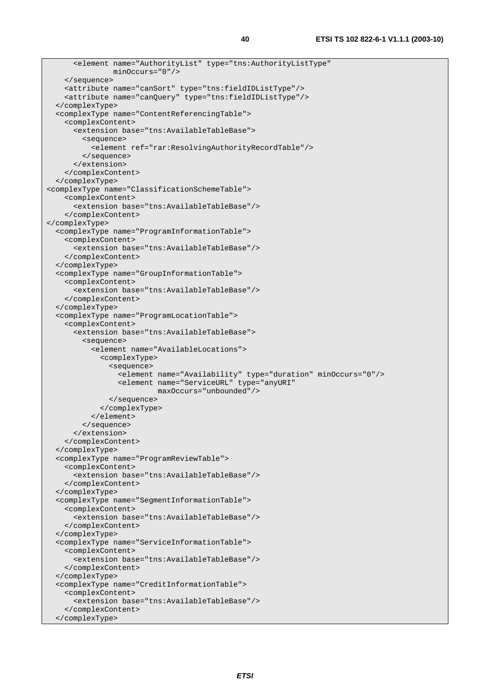```
 <element name="AuthorityList" type="tns:AuthorityListType" 
                 minOccurs="0"/> 
     </sequence> 
     <attribute name="canSort" type="tns:fieldIDListType"/> 
     <attribute name="canQuery" type="tns:fieldIDListType"/> 
   </complexType> 
   <complexType name="ContentReferencingTable"> 
     <complexContent> 
       <extension base="tns:AvailableTableBase"> 
         <sequence> 
            <element ref="rar:ResolvingAuthorityRecordTable"/> 
         </sequence> 
       </extension> 
     </complexContent> 
   </complexType> 
<complexType name="ClassificationSchemeTable"> 
     <complexContent> 
       <extension base="tns:AvailableTableBase"/> 
     </complexContent> 
</complexType> 
   <complexType name="ProgramInformationTable"> 
     <complexContent> 
       <extension base="tns:AvailableTableBase"/> 
     </complexContent> 
   </complexType> 
   <complexType name="GroupInformationTable"> 
     <complexContent> 
       <extension base="tns:AvailableTableBase"/> 
     </complexContent> 
   </complexType> 
   <complexType name="ProgramLocationTable"> 
     <complexContent> 
       <extension base="tns:AvailableTableBase"> 
         <sequence> 
            <element name="AvailableLocations"> 
              <complexType> 
                <sequence> 
                  <element name="Availability" type="duration" minOccurs="0"/> 
                  <element name="ServiceURL" type="anyURI" 
                            maxOccurs="unbounded"/> 
                </sequence> 
              </complexType> 
            </element> 
         </sequence> 
       </extension> 
     </complexContent> 
   </complexType> 
   <complexType name="ProgramReviewTable"> 
     <complexContent> 
       <extension base="tns:AvailableTableBase"/> 
     </complexContent> 
   </complexType> 
   <complexType name="SegmentInformationTable"> 
     <complexContent> 
       <extension base="tns:AvailableTableBase"/> 
     </complexContent> 
   </complexType> 
   <complexType name="ServiceInformationTable"> 
     <complexContent> 
       <extension base="tns:AvailableTableBase"/> 
     </complexContent> 
   </complexType> 
   <complexType name="CreditInformationTable"> 
     <complexContent> 
       <extension base="tns:AvailableTableBase"/> 
     </complexContent> 
   </complexType>
```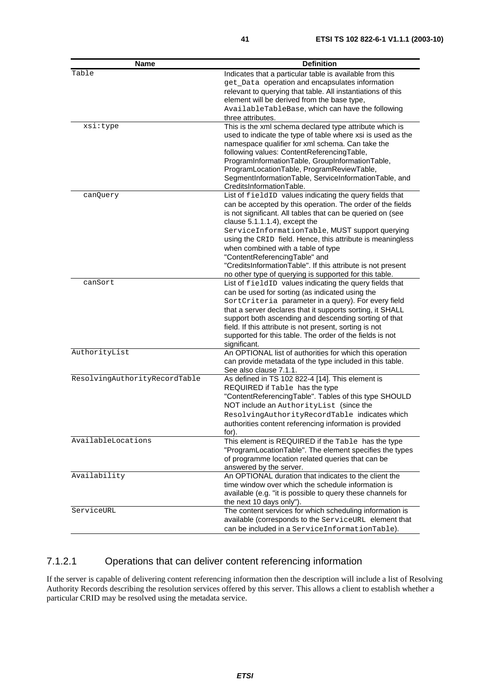| <b>Name</b>                   | <b>Definition</b>                                                                                |
|-------------------------------|--------------------------------------------------------------------------------------------------|
| Table                         | Indicates that a particular table is available from this                                         |
|                               | get_Data operation and encapsulates information                                                  |
|                               | relevant to querying that table. All instantiations of this                                      |
|                               | element will be derived from the base type,                                                      |
|                               | AvailableTableBase, which can have the following                                                 |
|                               | three attributes.                                                                                |
| xsi:type                      | This is the xml schema declared type attribute which is                                          |
|                               | used to indicate the type of table where xsi is used as the                                      |
|                               | namespace qualifier for xml schema. Can take the                                                 |
|                               | following values: ContentReferencingTable,                                                       |
|                               | ProgramInformationTable, GroupInformationTable,                                                  |
|                               | ProgramLocationTable, ProgramReviewTable,                                                        |
|                               | SegmentInformationTable, ServiceInformationTable, and                                            |
|                               | CreditsInformationTable.                                                                         |
| canQuery                      | List of fieldID values indicating the query fields that                                          |
|                               | can be accepted by this operation. The order of the fields                                       |
|                               | is not significant. All tables that can be queried on (see                                       |
|                               | clause $5.1.1.1.4$ ), except the<br>ServiceInformationTable, MUST support querying               |
|                               |                                                                                                  |
|                               | using the CRID field. Hence, this attribute is meaningless<br>when combined with a table of type |
|                               | "ContentReferencingTable" and                                                                    |
|                               | "CreditsInformationTable". If this attribute is not present                                      |
|                               | no other type of querying is supported for this table.                                           |
| canSort                       | List of fieldID values indicating the query fields that                                          |
|                               | can be used for sorting (as indicated using the                                                  |
|                               | SortCriteria parameter in a query). For every field                                              |
|                               | that a server declares that it supports sorting, it SHALL                                        |
|                               | support both ascending and descending sorting of that                                            |
|                               | field. If this attribute is not present, sorting is not                                          |
|                               | supported for this table. The order of the fields is not                                         |
|                               | significant.                                                                                     |
| AuthorityList                 | An OPTIONAL list of authorities for which this operation                                         |
|                               | can provide metadata of the type included in this table.                                         |
|                               | See also clause 7.1.1.                                                                           |
| ResolvingAuthorityRecordTable | As defined in TS 102 822-4 [14]. This element is                                                 |
|                               | REQUIRED if Table has the type                                                                   |
|                               | "ContentReferencingTable". Tables of this type SHOULD                                            |
|                               | NOT include an AuthorityList (since the                                                          |
|                               | ResolvingAuthorityRecordTable indicates which                                                    |
|                               | authorities content referencing information is provided                                          |
|                               | for).                                                                                            |
| AvailableLocations            | This element is REQUIRED if the Table has the type                                               |
|                               | "ProgramLocationTable". The element specifies the types                                          |
|                               | of programme location related queries that can be                                                |
|                               | answered by the server.                                                                          |
| Availability                  | An OPTIONAL duration that indicates to the client the                                            |
|                               | time window over which the schedule information is                                               |
|                               | available (e.g. "it is possible to query these channels for                                      |
| ServiceURL                    | the next 10 days only").<br>The content services for which scheduling information is             |
|                               | available (corresponds to the ServiceURL element that                                            |
|                               |                                                                                                  |
|                               | can be included in a ServiceInformationTable).                                                   |

### 7.1.2.1 Operations that can deliver content referencing information

If the server is capable of delivering content referencing information then the description will include a list of Resolving Authority Records describing the resolution services offered by this server. This allows a client to establish whether a particular CRID may be resolved using the metadata service.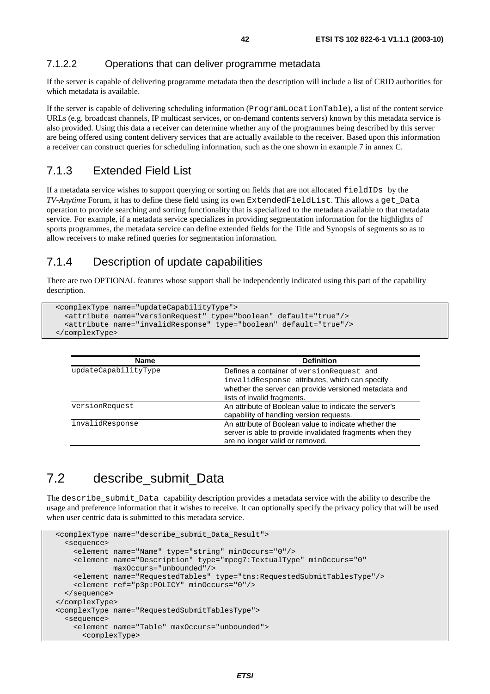#### 7.1.2.2 Operations that can deliver programme metadata

If the server is capable of delivering programme metadata then the description will include a list of CRID authorities for which metadata is available.

If the server is capable of delivering scheduling information (ProgramLocationTable), a list of the content service URLs (e.g. broadcast channels, IP multicast services, or on-demand contents servers) known by this metadata service is also provided. Using this data a receiver can determine whether any of the programmes being described by this server are being offered using content delivery services that are actually available to the receiver. Based upon this information a receiver can construct queries for scheduling information, such as the one shown in example 7 in annex C.

#### 7.1.3 Extended Field List

If a metadata service wishes to support querying or sorting on fields that are not allocated fieldIDs by the *TV-Anytime* Forum, it has to define these field using its own ExtendedFieldList. This allows a get\_Data operation to provide searching and sorting functionality that is specialized to the metadata available to that metadata service. For example, if a metadata service specializes in providing segmentation information for the highlights of sports programmes, the metadata service can define extended fields for the Title and Synopsis of segments so as to allow receivers to make refined queries for segmentation information.

#### 7.1.4 Description of update capabilities

There are two OPTIONAL features whose support shall be independently indicated using this part of the capability description.

```
 <complexType name="updateCapabilityType"> 
   <attribute name="versionRequest" type="boolean" default="true"/> 
   <attribute name="invalidResponse" type="boolean" default="true"/> 
 </complexType>
```

| <b>Name</b>          | <b>Definition</b>                                                                                                                                     |
|----------------------|-------------------------------------------------------------------------------------------------------------------------------------------------------|
| updateCapabilityType | Defines a container of version Request and<br>invalidResponse attributes, which can specify                                                           |
|                      | whether the server can provide versioned metadata and<br>lists of invalid fragments.                                                                  |
| versionRequest       | An attribute of Boolean value to indicate the server's<br>capability of handling version requests.                                                    |
| invalidResponse      | An attribute of Boolean value to indicate whether the<br>server is able to provide invalidated fragments when they<br>are no longer valid or removed. |

### 7.2 describe submit Data

The describe\_submit\_Data capability description provides a metadata service with the ability to describe the usage and preference information that it wishes to receive. It can optionally specify the privacy policy that will be used when user centric data is submitted to this metadata service.

```
 <complexType name="describe_submit_Data_Result"> 
   <sequence> 
     <element name="Name" type="string" minOccurs="0"/> 
     <element name="Description" type="mpeg7:TextualType" minOccurs="0" 
              maxOccurs="unbounded"/> 
     <element name="RequestedTables" type="tns:RequestedSubmitTablesType"/> 
     <element ref="p3p:POLICY" minOccurs="0"/> 
  </sequence> 
 </complexType> 
 <complexType name="RequestedSubmitTablesType"> 
   <sequence> 
     <element name="Table" maxOccurs="unbounded"> 
       <complexType>
```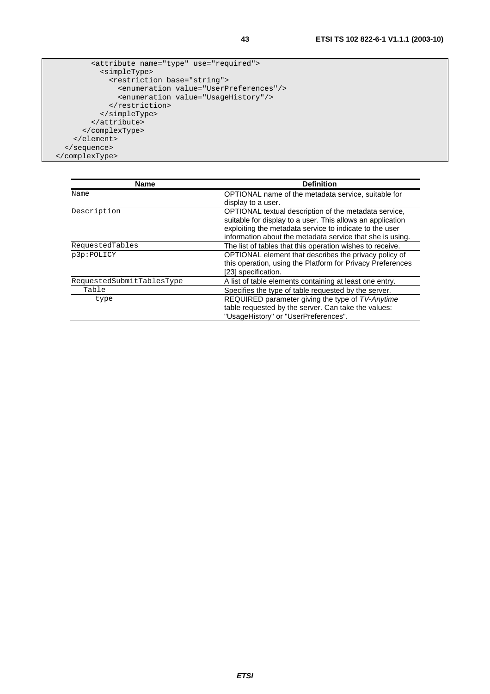```
 <attribute name="type" use="required"> 
           <simpleType> 
             <restriction base="string"> 
                <enumeration value="UserPreferences"/> 
                <enumeration value="UsageHistory"/> 
              </restriction> 
           </simpleType> 
         </attribute> 
       </complexType> 
     </element> 
   </sequence> 
 </complexType>
```

| <b>Name</b>               | <b>Definition</b>                                          |
|---------------------------|------------------------------------------------------------|
| Name                      | OPTIONAL name of the metadata service, suitable for        |
|                           | display to a user.                                         |
| Description               | OPTIONAL textual description of the metadata service,      |
|                           | suitable for display to a user. This allows an application |
|                           | exploiting the metadata service to indicate to the user    |
|                           | information about the metadata service that she is using.  |
| RequestedTables           | The list of tables that this operation wishes to receive.  |
| p3p:POLICY                | OPTIONAL element that describes the privacy policy of      |
|                           | this operation, using the Platform for Privacy Preferences |
|                           | [23] specification.                                        |
| RequestedSubmitTablesType | A list of table elements containing at least one entry.    |
| Table                     | Specifies the type of table requested by the server.       |
| type                      | REQUIRED parameter giving the type of TV-Anytime           |
|                           | table requested by the server. Can take the values:        |
|                           | "UsageHistory" or "UserPreferences".                       |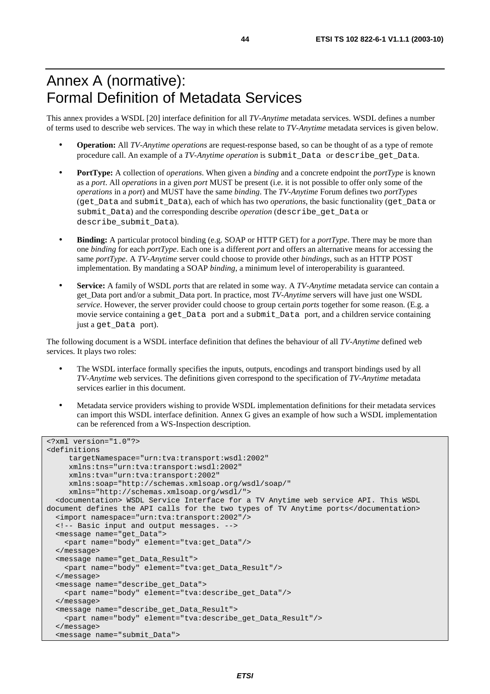## Annex A (normative): Formal Definition of Metadata Services

This annex provides a WSDL [20] interface definition for all *TV-Anytime* metadata services. WSDL defines a number of terms used to describe web services. The way in which these relate to *TV-Anytime* metadata services is given below.

- **Operation:** All *TV-Anytime operations* are request-response based, so can be thought of as a type of remote procedure call. An example of a *TV-Anytime operation* is submit*\_*Data or describe*\_*get*\_*Data.
- **PortType:** A collection of *operations*. When given a *binding* and a concrete endpoint the *portType* is known as a *port*. All *operations* in a given *port* MUST be present (i.e. it is not possible to offer only some of the *operations* in a *port*) and MUST have the same *binding*. The *TV-Anytime* Forum defines two *portTypes* (get*\_*Data and submit*\_*Data), each of which has two *operations*, the basic functionality (get*\_*Data or submit*\_*Data) and the corresponding describe *operation* (describe\_get*\_*Data or describe\_submit*\_*Data).
- **Binding:** A particular protocol binding (e.g. SOAP or HTTP GET) for a *portType*. There may be more than one *binding* for each *portType*. Each one is a different *port* and offers an alternative means for accessing the same *portType*. A *TV-Anytime* server could choose to provide other *bindings*, such as an HTTP POST implementation. By mandating a SOAP *binding*, a minimum level of interoperability is guaranteed.
- **Service:** A family of WSDL *ports* that are related in some way. A *TV-Anytime* metadata service can contain a get\_Data port and/or a submit\_Data port. In practice, most *TV-Anytime* servers will have just one WSDL *service*. However, the server provider could choose to group certain *ports* together for some reason. (E.g. a movie service containing a get Data port and a submit Data port, and a children service containing just a get\_Data port).

The following document is a WSDL interface definition that defines the behaviour of all *TV-Anytime* defined web services. It plays two roles:

- The WSDL interface formally specifies the inputs, outputs, encodings and transport bindings used by all *TV-Anytime* web services. The definitions given correspond to the specification of *TV-Anytime* metadata services earlier in this document.
- Metadata service providers wishing to provide WSDL implementation definitions for their metadata services can import this WSDL interface definition. Annex G gives an example of how such a WSDL implementation can be referenced from a WS-Inspection description.

```
<?xml version="1.0"?> 
<definitions 
      targetNamespace="urn:tva:transport:wsdl:2002" 
      xmlns:tns="urn:tva:transport:wsdl:2002" 
      xmlns:tva="urn:tva:transport:2002" 
      xmlns:soap="http://schemas.xmlsoap.org/wsdl/soap/" 
      xmlns="http://schemas.xmlsoap.org/wsdl/"> 
   <documentation> WSDL Service Interface for a TV Anytime web service API. This WSDL 
document defines the API calls for the two types of TV Anytime ports</documentation> 
   <import namespace="urn:tva:transport:2002"/> 
   <!-- Basic input and output messages. --> 
   <message name="get_Data"> 
     <part name="body" element="tva:get_Data"/> 
   </message> 
   <message name="get_Data_Result"> 
     <part name="body" element="tva:get_Data_Result"/> 
   </message> 
   <message name="describe_get_Data"> 
     <part name="body" element="tva:describe_get_Data"/> 
   </message> 
   <message name="describe_get_Data_Result"> 
     <part name="body" element="tva:describe_get_Data_Result"/> 
   </message> 
   <message name="submit_Data">
```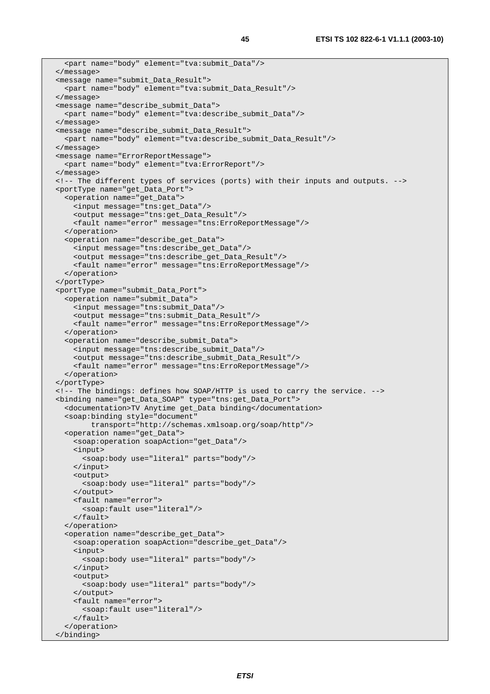```
 <part name="body" element="tva:submit_Data"/> 
 </message> 
 <message name="submit_Data_Result"> 
   <part name="body" element="tva:submit_Data_Result"/> 
 </message> 
 <message name="describe_submit_Data"> 
   <part name="body" element="tva:describe_submit_Data"/> 
 </message> 
 <message name="describe_submit_Data_Result"> 
  <part name="body" element="tva:describe_submit_Data_Result"/> 
 </message> 
 <message name="ErrorReportMessage"> 
  <part name="body" element="tva:ErrorReport"/> 
 </message> 
 <!-- The different types of services (ports) with their inputs and outputs. --> 
 <portType name="get_Data_Port"> 
   <operation name="get_Data"> 
     <input message="tns:get_Data"/> 
     <output message="tns:get_Data_Result"/> 
     <fault name="error" message="tns:ErroReportMessage"/> 
   </operation> 
   <operation name="describe_get_Data"> 
     <input message="tns:describe_get_Data"/> 
     <output message="tns:describe_get_Data_Result"/> 
     <fault name="error" message="tns:ErroReportMessage"/> 
   </operation> 
 </portType> 
 <portType name="submit_Data_Port"> 
   <operation name="submit_Data"> 
     <input message="tns:submit_Data"/> 
     <output message="tns:submit_Data_Result"/> 
     <fault name="error" message="tns:ErroReportMessage"/> 
   </operation> 
   <operation name="describe_submit_Data"> 
     <input message="tns:describe_submit_Data"/> 
     <output message="tns:describe_submit_Data_Result"/> 
     <fault name="error" message="tns:ErroReportMessage"/> 
   </operation> 
 </portType> 
 <!-- The bindings: defines how SOAP/HTTP is used to carry the service. --> 
 <binding name="get_Data_SOAP" type="tns:get_Data_Port"> 
   <documentation>TV Anytime get_Data binding</documentation> 
   <soap:binding style="document" 
         transport="http://schemas.xmlsoap.org/soap/http"/> 
   <operation name="get_Data"> 
     <soap:operation soapAction="get_Data"/> 
     <input> 
       <soap:body use="literal" parts="body"/> 
     </input> 
     <output> 
       <soap:body use="literal" parts="body"/> 
     </output> 
     <fault name="error"> 
       <soap:fault use="literal"/> 
     </fault> 
   </operation> 
   <operation name="describe_get_Data"> 
     <soap:operation soapAction="describe_get_Data"/> 
     <input> 
       <soap:body use="literal" parts="body"/> 
     </input> 
     <output> 
       <soap:body use="literal" parts="body"/> 
     </output> 
     <fault name="error"> 
       <soap:fault use="literal"/> 
     </fault> 
   </operation> 
 </binding>
```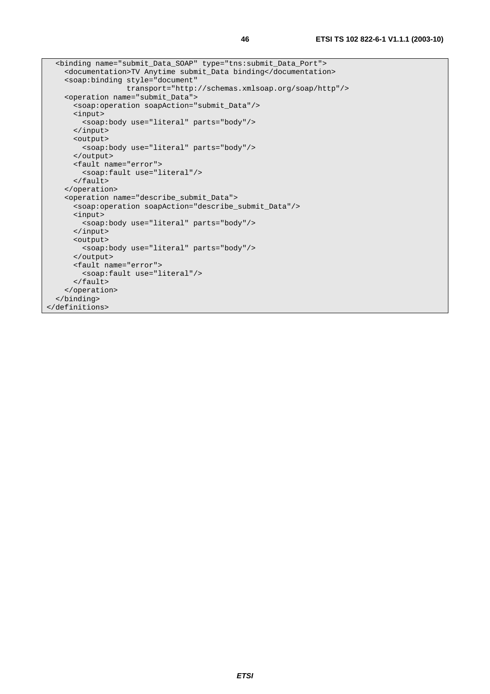```
 <binding name="submit_Data_SOAP" type="tns:submit_Data_Port"> 
     <documentation>TV Anytime submit_Data binding</documentation> 
     <soap:binding style="document" 
                   transport="http://schemas.xmlsoap.org/soap/http"/> 
     <operation name="submit_Data"> 
       <soap:operation soapAction="submit_Data"/> 
       <input> 
        <soap:body use="literal" parts="body"/> 
       </input> 
       <output> 
         <soap:body use="literal" parts="body"/> 
       </output> 
       <fault name="error"> 
         <soap:fault use="literal"/> 
       </fault> 
    </operation> 
     <operation name="describe_submit_Data"> 
       <soap:operation soapAction="describe_submit_Data"/> 
       <input> 
        <soap:body use="literal" parts="body"/> 
       </input> 
       <output> 
         <soap:body use="literal" parts="body"/> 
       </output> 
       <fault name="error"> 
         <soap:fault use="literal"/> 
       </fault> 
     </operation> 
   </binding> 
</definitions>
```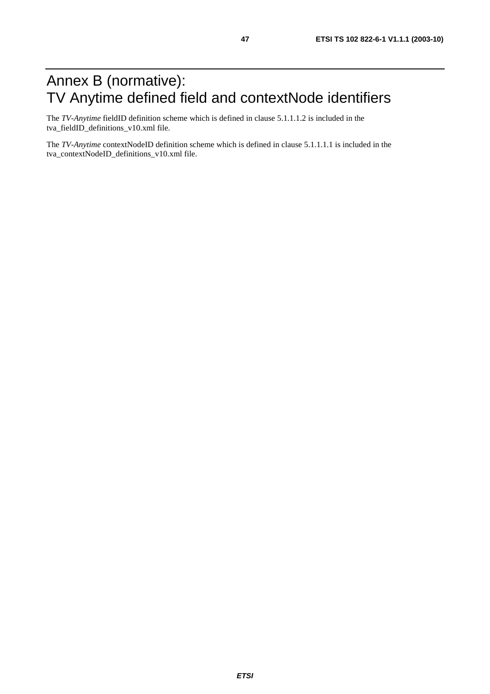## Annex B (normative): TV Anytime defined field and contextNode identifiers

The *TV-Anytime* fieldID definition scheme which is defined in clause 5.1.1.1.2 is included in the tva\_fieldID\_definitions\_v10.xml file.

The *TV-Anytime* contextNodeID definition scheme which is defined in clause 5.1.1.1.1 is included in the tva\_contextNodeID\_definitions\_v10.xml file.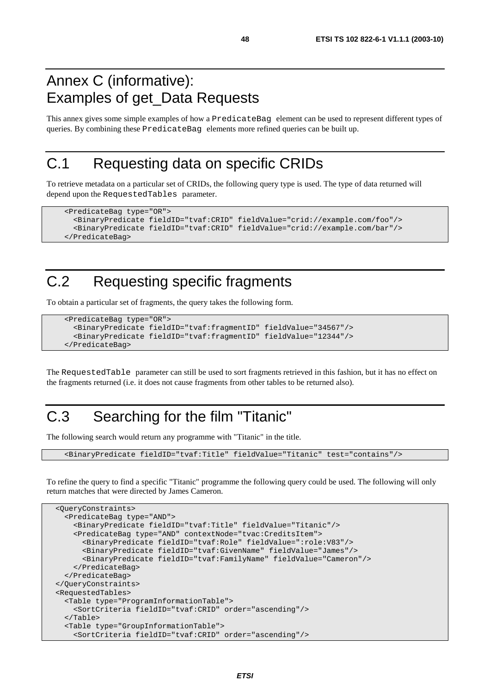## Annex C (informative): Examples of get\_Data Requests

This annex gives some simple examples of how a PredicateBag element can be used to represent different types of queries. By combining these PredicateBag elements more refined queries can be built up.

## C.1 Requesting data on specific CRIDs

To retrieve metadata on a particular set of CRIDs, the following query type is used. The type of data returned will depend upon the RequestedTables parameter.

```
 <PredicateBag type="OR"> 
   <BinaryPredicate fieldID="tvaf:CRID" fieldValue="crid://example.com/foo"/> 
   <BinaryPredicate fieldID="tvaf:CRID" fieldValue="crid://example.com/bar"/> 
 </PredicateBag>
```
## C.2 Requesting specific fragments

To obtain a particular set of fragments, the query takes the following form.

```
 <PredicateBag type="OR"> 
   <BinaryPredicate fieldID="tvaf:fragmentID" fieldValue="34567"/> 
   <BinaryPredicate fieldID="tvaf:fragmentID" fieldValue="12344"/> 
 </PredicateBag>
```
The RequestedTable parameter can still be used to sort fragments retrieved in this fashion, but it has no effect on the fragments returned (i.e. it does not cause fragments from other tables to be returned also).

## C.3 Searching for the film "Titanic"

The following search would return any programme with "Titanic" in the title.

<BinaryPredicate fieldID="tvaf:Title" fieldValue="Titanic" test="contains"/>

To refine the query to find a specific "Titanic" programme the following query could be used. The following will only return matches that were directed by James Cameron.

```
 <QueryConstraints> 
   <PredicateBag type="AND"> 
     <BinaryPredicate fieldID="tvaf:Title" fieldValue="Titanic"/> 
     <PredicateBag type="AND" contextNode="tvac:CreditsItem"> 
       <BinaryPredicate fieldID="tvaf:Role" fieldValue=":role:V83"/> 
       <BinaryPredicate fieldID="tvaf:GivenName" fieldValue="James"/> 
       <BinaryPredicate fieldID="tvaf:FamilyName" fieldValue="Cameron"/> 
     </PredicateBag> 
  </PredicateBag> 
 </QueryConstraints> 
 <RequestedTables> 
   <Table type="ProgramInformationTable"> 
     <SortCriteria fieldID="tvaf:CRID" order="ascending"/> 
   </Table> 
   <Table type="GroupInformationTable"> 
     <SortCriteria fieldID="tvaf:CRID" order="ascending"/>
```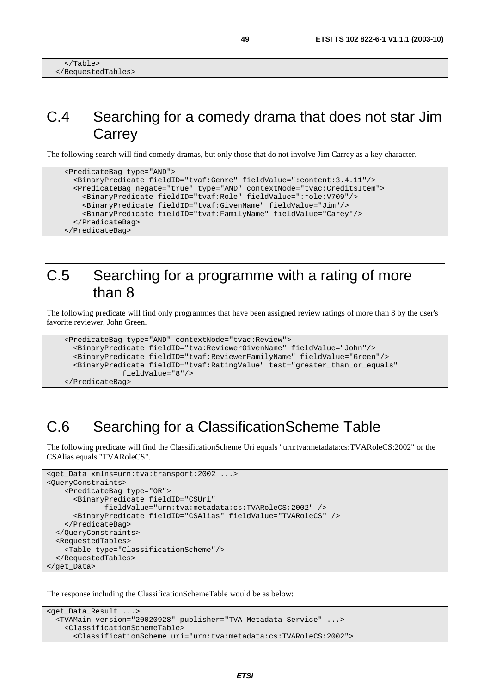## C.4 Searching for a comedy drama that does not star Jim **Carrey**

The following search will find comedy dramas, but only those that do not involve Jim Carrey as a key character.

```
 <PredicateBag type="AND"> 
   <BinaryPredicate fieldID="tvaf:Genre" fieldValue=":content:3.4.11"/> 
   <PredicateBag negate="true" type="AND" contextNode="tvac:CreditsItem"> 
     <BinaryPredicate fieldID="tvaf:Role" fieldValue=":role:V709"/> 
     <BinaryPredicate fieldID="tvaf:GivenName" fieldValue="Jim"/> 
     <BinaryPredicate fieldID="tvaf:FamilyName" fieldValue="Carey"/> 
   </PredicateBag> 
 </PredicateBag>
```
## C.5 Searching for a programme with a rating of more than 8

The following predicate will find only programmes that have been assigned review ratings of more than 8 by the user's favorite reviewer, John Green.

```
 <PredicateBag type="AND" contextNode="tvac:Review"> 
   <BinaryPredicate fieldID="tva:ReviewerGivenName" fieldValue="John"/> 
   <BinaryPredicate fieldID="tvaf:ReviewerFamilyName" fieldValue="Green"/> 
   <BinaryPredicate fieldID="tvaf:RatingValue" test="greater_than_or_equals" 
              fieldValue="8"/> 
 </PredicateBag>
```
## C.6 Searching for a ClassificationScheme Table

The following predicate will find the ClassificationScheme Uri equals "urn:tva:metadata:cs:TVARoleCS:2002" or the CSAlias equals "TVARoleCS".

```
<get_Data xmlns=urn:tva:transport:2002 ...> 
<QueryConstraints> 
     <PredicateBag type="OR"> 
       <BinaryPredicate fieldID="CSUri" 
              fieldValue="urn:tva:metadata:cs:TVARoleCS:2002" /> 
       <BinaryPredicate fieldID="CSAlias" fieldValue="TVARoleCS" /> 
     </PredicateBag> 
   </QueryConstraints> 
   <RequestedTables> 
     <Table type="ClassificationScheme"/> 
   </RequestedTables> 
</get_Data>
```
The response including the ClassificationSchemeTable would be as below:

```
<get_Data_Result ...> 
   <TVAMain version="20020928" publisher="TVA-Metadata-Service" ...> 
     <ClassificationSchemeTable> 
       <ClassificationScheme uri="urn:tva:metadata:cs:TVARoleCS:2002">
```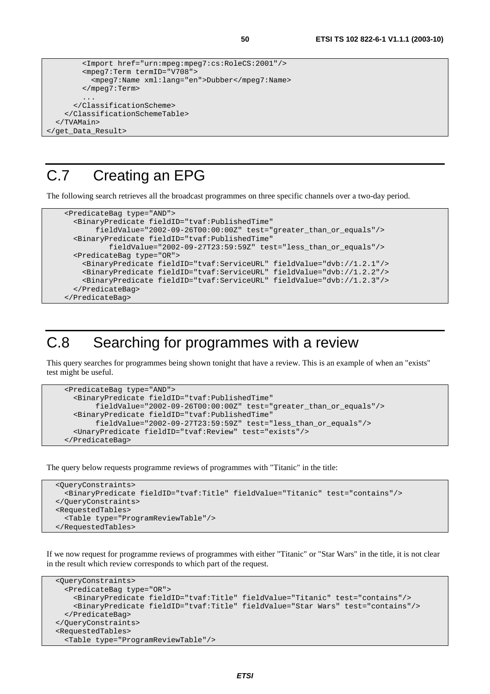```
 <Import href="urn:mpeg:mpeg7:cs:RoleCS:2001"/> 
         <mpeg7:Term termID="V708"> 
           <mpeg7:Name xml:lang="en">Dubber</mpeg7:Name> 
         </mpeg7:Term> 
          ... 
       </ClassificationScheme> 
     </ClassificationSchemeTable> 
   </TVAMain> 
</get_Data_Result>
```
## C.7 Creating an EPG

The following search retrieves all the broadcast programmes on three specific channels over a two-day period.

```
 <PredicateBag type="AND"> 
   <BinaryPredicate fieldID="tvaf:PublishedTime" 
        fieldValue="2002-09-26T00:00:00Z" test="greater_than_or_equals"/> 
   <BinaryPredicate fieldID="tvaf:PublishedTime" 
           fieldValue="2002-09-27T23:59:59Z" test="less_than_or_equals"/> 
   <PredicateBag type="OR"> 
     <BinaryPredicate fieldID="tvaf:ServiceURL" fieldValue="dvb://1.2.1"/> 
     <BinaryPredicate fieldID="tvaf:ServiceURL" fieldValue="dvb://1.2.2"/> 
     <BinaryPredicate fieldID="tvaf:ServiceURL" fieldValue="dvb://1.2.3"/> 
   </PredicateBag> 
 </PredicateBag>
```
## C.8 Searching for programmes with a review

This query searches for programmes being shown tonight that have a review. This is an example of when an "exists" test might be useful.

```
 <PredicateBag type="AND"> 
   <BinaryPredicate fieldID="tvaf:PublishedTime" 
        fieldValue="2002-09-26T00:00:00Z" test="greater_than_or_equals"/> 
   <BinaryPredicate fieldID="tvaf:PublishedTime" 
        fieldValue="2002-09-27T23:59:59Z" test="less_than_or_equals"/> 
   <UnaryPredicate fieldID="tvaf:Review" test="exists"/> 
 </PredicateBag>
```
The query below requests programme reviews of programmes with "Titanic" in the title:

```
 <QueryConstraints> 
   <BinaryPredicate fieldID="tvaf:Title" fieldValue="Titanic" test="contains"/> 
 </QueryConstraints> 
 <RequestedTables> 
   <Table type="ProgramReviewTable"/> 
 </RequestedTables>
```
If we now request for programme reviews of programmes with either "Titanic" or "Star Wars" in the title, it is not clear in the result which review corresponds to which part of the request.

```
 <QueryConstraints> 
   <PredicateBag type="OR"> 
     <BinaryPredicate fieldID="tvaf:Title" fieldValue="Titanic" test="contains"/> 
     <BinaryPredicate fieldID="tvaf:Title" fieldValue="Star Wars" test="contains"/> 
   </PredicateBag> 
 </QueryConstraints> 
 <RequestedTables> 
   <Table type="ProgramReviewTable"/>
```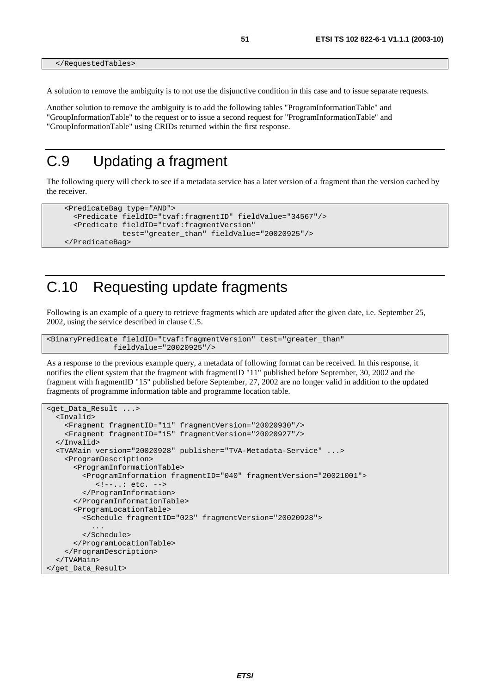</RequestedTables>

A solution to remove the ambiguity is to not use the disjunctive condition in this case and to issue separate requests.

Another solution to remove the ambiguity is to add the following tables "ProgramInformationTable" and "GroupInformationTable" to the request or to issue a second request for "ProgramInformationTable" and "GroupInformationTable" using CRIDs returned within the first response.

## C.9 Updating a fragment

The following query will check to see if a metadata service has a later version of a fragment than the version cached by the receiver.

```
 <PredicateBag type="AND"> 
   <Predicate fieldID="tvaf:fragmentID" fieldValue="34567"/> 
   <Predicate fieldID="tvaf:fragmentVersion" 
              test="greater_than" fieldValue="20020925"/> 
 </PredicateBag>
```
## C.10 Requesting update fragments

Following is an example of a query to retrieve fragments which are updated after the given date, i.e. September 25, 2002, using the service described in clause C.5.

```
<BinaryPredicate fieldID="tvaf:fragmentVersion" test="greater_than" 
                fieldValue="20020925"/>
```
As a response to the previous example query, a metadata of following format can be received. In this response, it notifies the client system that the fragment with fragmentID "11" published before September, 30, 2002 and the fragment with fragmentID "15" published before September, 27, 2002 are no longer valid in addition to the updated fragments of programme information table and programme location table.

```
<get_Data_Result ...> 
   <Invalid> 
     <Fragment fragmentID="11" fragmentVersion="20020930"/> 
     <Fragment fragmentID="15" fragmentVersion="20020927"/> 
   </Invalid> 
   <TVAMain version="20020928" publisher="TVA-Metadata-Service" ...> 
     <ProgramDescription> 
       <ProgramInformationTable> 
         <ProgramInformation fragmentID="040" fragmentVersion="20021001"> 
            <!--..: etc. --> 
         </ProgramInformation> 
       </ProgramInformationTable> 
       <ProgramLocationTable> 
         <Schedule fragmentID="023" fragmentVersion="20020928"> 
 ... 
         </Schedule> 
       </ProgramLocationTable> 
     </ProgramDescription> 
   </TVAMain> 
</get_Data_Result>
```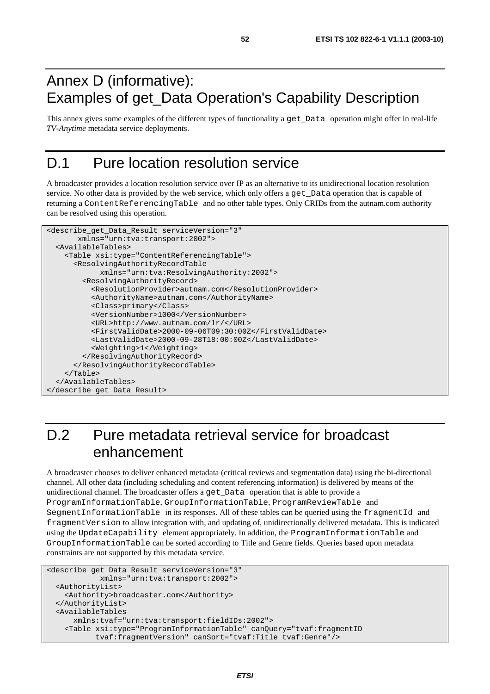## Annex D (informative): Examples of get\_Data Operation's Capability Description

This annex gives some examples of the different types of functionality a get\_Data operation might offer in real-life *TV-Anytime* metadata service deployments.

## D.1 Pure location resolution service

A broadcaster provides a location resolution service over IP as an alternative to its unidirectional location resolution service. No other data is provided by the web service, which only offers a get\_Data operation that is capable of returning a ContentReferencingTable and no other table types. Only CRIDs from the autnam.com authority can be resolved using this operation.

```
<describe_get_Data_Result serviceVersion="3" 
        xmlns="urn:tva:transport:2002"> 
  <AvailableTables> 
     <Table xsi:type="ContentReferencingTable"> 
       <ResolvingAuthorityRecordTable 
             xmlns="urn:tva:ResolvingAuthority:2002"> 
         <ResolvingAuthorityRecord> 
           <ResolutionProvider>autnam.com</ResolutionProvider> 
           <AuthorityName>autnam.com</AuthorityName> 
           <Class>primary</Class> 
           <VersionNumber>1000</VersionNumber> 
           <URL>http://www.autnam.com/lr/</URL> 
           <FirstValidDate>2000-09-06T09:30:00Z</FirstValidDate> 
           <LastValidDate>2000-09-28T18:00:00Z</LastValidDate> 
           <Weighting>1</Weighting> 
         </ResolvingAuthorityRecord> 
       </ResolvingAuthorityRecordTable> 
     </Table> 
  </AvailableTables> 
</describe_get_Data_Result>
```
## D.2 Pure metadata retrieval service for broadcast enhancement

A broadcaster chooses to deliver enhanced metadata (critical reviews and segmentation data) using the bi-directional channel. All other data (including scheduling and content referencing information) is delivered by means of the unidirectional channel. The broadcaster offers a get\_Data operation that is able to provide a ProgramInformationTable, GroupInformationTable, ProgramReviewTable and SegmentInformationTable in its responses. All of these tables can be queried using the fragmentId and fragmentVersion to allow integration with, and updating of, unidirectionally delivered metadata. This is indicated using the UpdateCapability element appropriately. In addition, the ProgramInformationTable and GroupInformationTable can be sorted according to Title and Genre fields. Queries based upon metadata constraints are not supported by this metadata service.

```
<describe_get_Data_Result serviceVersion="3" 
             xmlns="urn:tva:transport:2002"> 
   <AuthorityList> 
     <Authority>broadcaster.com</Authority> 
   </AuthorityList> 
   <AvailableTables 
       xmlns:tvaf="urn:tva:transport:fieldIDs:2002"> 
     <Table xsi:type="ProgramInformationTable" canQuery="tvaf:fragmentID 
            tvaf:fragmentVersion" canSort="tvaf:Title tvaf:Genre"/>
```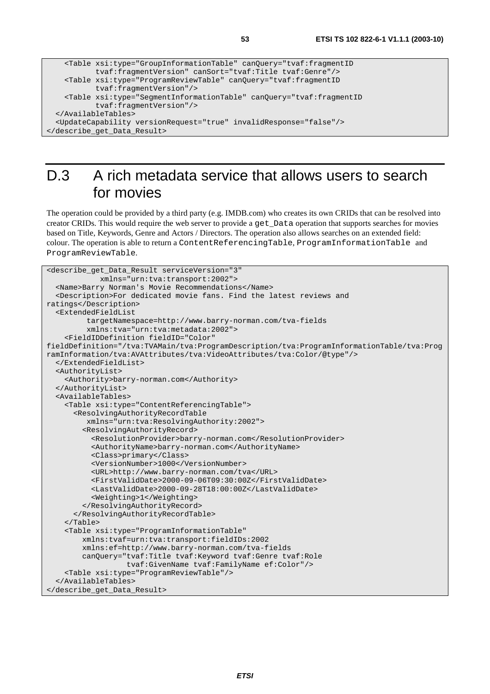```
 <Table xsi:type="GroupInformationTable" canQuery="tvaf:fragmentID 
            tvaf:fragmentVersion" canSort="tvaf:Title tvaf:Genre"/> 
    <Table xsi:type="ProgramReviewTable" canQuery="tvaf:fragmentID 
            tvaf:fragmentVersion"/> 
    <Table xsi:type="SegmentInformationTable" canQuery="tvaf:fragmentID 
            tvaf:fragmentVersion"/> 
  </AvailableTables> 
  <UpdateCapability versionRequest="true" invalidResponse="false"/> 
</describe_get_Data_Result>
```
## D.3 A rich metadata service that allows users to search for movies

The operation could be provided by a third party (e.g. IMDB.com) who creates its own CRIDs that can be resolved into creator CRIDs. This would require the web server to provide a get\_Data operation that supports searches for movies based on Title, Keywords, Genre and Actors / Directors. The operation also allows searches on an extended field: colour. The operation is able to return a ContentReferencingTable, ProgramInformationTable and ProgramReviewTable.

```
<describe_get_Data_Result serviceVersion="3" 
             xmlns="urn:tva:transport:2002"> 
   <Name>Barry Norman's Movie Recommendations</Name> 
   <Description>For dedicated movie fans. Find the latest reviews and 
ratings</Description> 
   <ExtendedFieldList 
          targetNamespace=http://www.barry-norman.com/tva-fields 
          xmlns:tva="urn:tva:metadata:2002"> 
     <FieldIDDefinition fieldID="Color" 
fieldDefinition="/tva:TVAMain/tva:ProgramDescription/tva:ProgramInformationTable/tva:Prog
ramInformation/tva:AVAttributes/tva:VideoAttributes/tva:Color/@type"/> 
   </ExtendedFieldList> 
   <AuthorityList> 
     <Authority>barry-norman.com</Authority> 
   </AuthorityList> 
   <AvailableTables> 
     <Table xsi:type="ContentReferencingTable"> 
       <ResolvingAuthorityRecordTable 
          xmlns="urn:tva:ResolvingAuthority:2002"> 
         <ResolvingAuthorityRecord> 
           <ResolutionProvider>barry-norman.com</ResolutionProvider> 
           <AuthorityName>barry-norman.com</AuthorityName> 
           <Class>primary</Class> 
           <VersionNumber>1000</VersionNumber> 
           <URL>http://www.barry-norman.com/tva</URL> 
           <FirstValidDate>2000-09-06T09:30:00Z</FirstValidDate> 
           <LastValidDate>2000-09-28T18:00:00Z</LastValidDate> 
           <Weighting>1</Weighting> 
         </ResolvingAuthorityRecord> 
       </ResolvingAuthorityRecordTable> 
     </Table> 
     <Table xsi:type="ProgramInformationTable" 
         xmlns:tvaf=urn:tva:transport:fieldIDs:2002 
         xmlns:ef=http://www.barry-norman.com/tva-fields 
         canQuery="tvaf:Title tvaf:Keyword tvaf:Genre tvaf:Role 
                    tvaf:GivenName tvaf:FamilyName ef:Color"/> 
     <Table xsi:type="ProgramReviewTable"/> 
   </AvailableTables> 
</describe_get_Data_Result>
```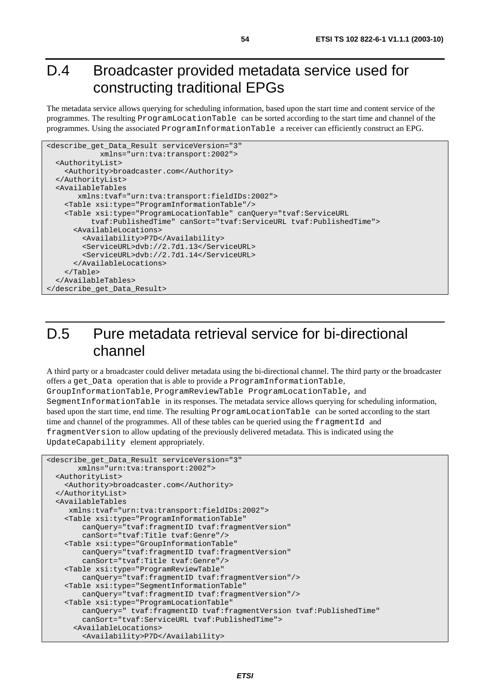## D.4 Broadcaster provided metadata service used for constructing traditional EPGs

The metadata service allows querying for scheduling information, based upon the start time and content service of the programmes. The resulting ProgramLocationTable can be sorted according to the start time and channel of the programmes. Using the associated ProgramInformationTable a receiver can efficiently construct an EPG.

```
<describe_get_Data_Result serviceVersion="3" 
             xmlns="urn:tva:transport:2002"> 
  <AuthorityList> 
     <Authority>broadcaster.com</Authority> 
  </AuthorityList> 
  <AvailableTables 
        xmlns:tvaf="urn:tva:transport:fieldIDs:2002"> 
     <Table xsi:type="ProgramInformationTable"/> 
     <Table xsi:type="ProgramLocationTable" canQuery="tvaf:ServiceURL 
           tvaf:PublishedTime" canSort="tvaf:ServiceURL tvaf:PublishedTime"> 
       <AvailableLocations> 
         <Availability>P7D</Availability> 
         <ServiceURL>dvb://2.7d1.13</ServiceURL> 
         <ServiceURL>dvb://2.7d1.14</ServiceURL> 
       </AvailableLocations> 
     </Table> 
  </AvailableTables> 
</describe_get_Data_Result>
```
## D.5 Pure metadata retrieval service for bi-directional channel

A third party or a broadcaster could deliver metadata using the bi-directional channel. The third party or the broadcaster offers a get\_Data operation that is able to provide a ProgramInformationTable, GroupInformationTable, ProgramReviewTable ProgramLocationTable, and SegmentInformationTable in its responses. The metadata service allows querying for scheduling information, based upon the start time, end time. The resulting ProgramLocationTable can be sorted according to the start time and channel of the programmes. All of these tables can be queried using the fragmentId and fragmentVersion to allow updating of the previously delivered metadata. This is indicated using the UpdateCapability element appropriately.

```
<describe_get_Data_Result serviceVersion="3" 
        xmlns="urn:tva:transport:2002"> 
   <AuthorityList> 
     <Authority>broadcaster.com</Authority> 
   </AuthorityList> 
   <AvailableTables 
     xmlns:tvaf="urn:tva:transport:fieldIDs:2002"> 
     <Table xsi:type="ProgramInformationTable" 
         canQuery="tvaf:fragmentID tvaf:fragmentVersion" 
         canSort="tvaf:Title tvaf:Genre"/> 
     <Table xsi:type="GroupInformationTable" 
         canQuery="tvaf:fragmentID tvaf:fragmentVersion" 
         canSort="tvaf:Title tvaf:Genre"/> 
     <Table xsi:type="ProgramReviewTable" 
         canQuery="tvaf:fragmentID tvaf:fragmentVersion"/> 
     <Table xsi:type="SegmentInformationTable" 
         canQuery="tvaf:fragmentID tvaf:fragmentVersion"/> 
     <Table xsi:type="ProgramLocationTable" 
         canQuery=" tvaf:fragmentID tvaf:fragmentVersion tvaf:PublishedTime" 
         canSort="tvaf:ServiceURL tvaf:PublishedTime"> 
       <AvailableLocations> 
         <Availability>P7D</Availability>
```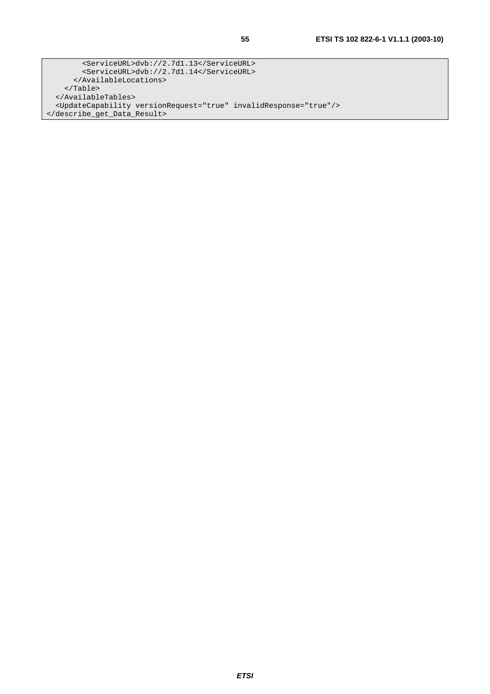<ServiceURL>dvb://2.7d1.13</ServiceURL> <ServiceURL>dvb://2.7d1.14</ServiceURL> </AvailableLocations> </Table> </AvailableTables> <UpdateCapability versionRequest="true" invalidResponse="true"/> </describe\_get\_Data\_Result>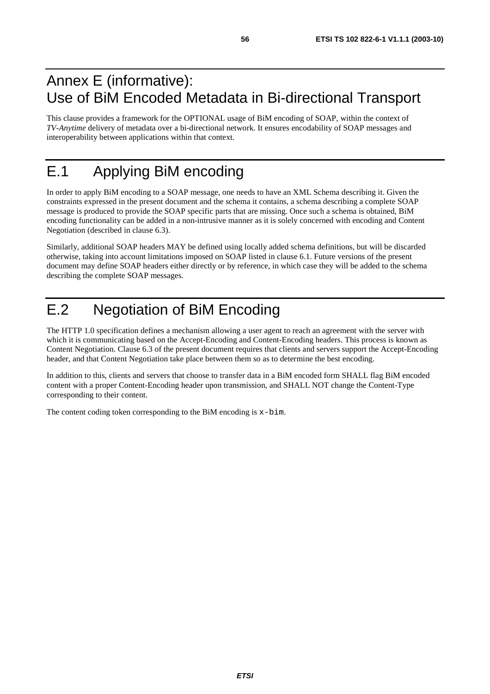## Annex E (informative): Use of BiM Encoded Metadata in Bi-directional Transport

This clause provides a framework for the OPTIONAL usage of BiM encoding of SOAP, within the context of *TV-Anytime* delivery of metadata over a bi-directional network. It ensures encodability of SOAP messages and interoperability between applications within that context.

## E.1 Applying BiM encoding

In order to apply BiM encoding to a SOAP message, one needs to have an XML Schema describing it. Given the constraints expressed in the present document and the schema it contains, a schema describing a complete SOAP message is produced to provide the SOAP specific parts that are missing. Once such a schema is obtained, BiM encoding functionality can be added in a non-intrusive manner as it is solely concerned with encoding and Content Negotiation (described in clause 6.3).

Similarly, additional SOAP headers MAY be defined using locally added schema definitions, but will be discarded otherwise, taking into account limitations imposed on SOAP listed in clause 6.1. Future versions of the present document may define SOAP headers either directly or by reference, in which case they will be added to the schema describing the complete SOAP messages.

## E.2 Negotiation of BiM Encoding

The HTTP 1.0 specification defines a mechanism allowing a user agent to reach an agreement with the server with which it is communicating based on the Accept-Encoding and Content-Encoding headers. This process is known as Content Negotiation. Clause 6.3 of the present document requires that clients and servers support the Accept-Encoding header, and that Content Negotiation take place between them so as to determine the best encoding.

In addition to this, clients and servers that choose to transfer data in a BiM encoded form SHALL flag BiM encoded content with a proper Content-Encoding header upon transmission, and SHALL NOT change the Content-Type corresponding to their content.

The content coding token corresponding to the BiM encoding is x-bim.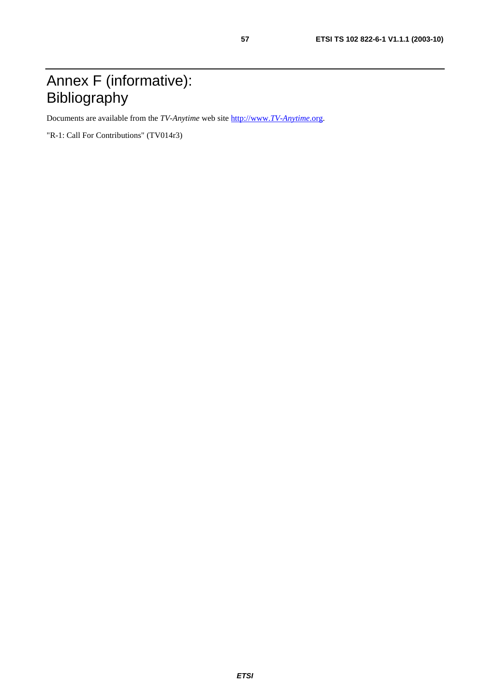## Annex F (informative): Bibliography

Documents are available from the *TV-Anytime* web site [http://www.](http://www.tv-anytime.org/)*TV-Anytime*.org.

"R-1: Call For Contributions" (TV014r3)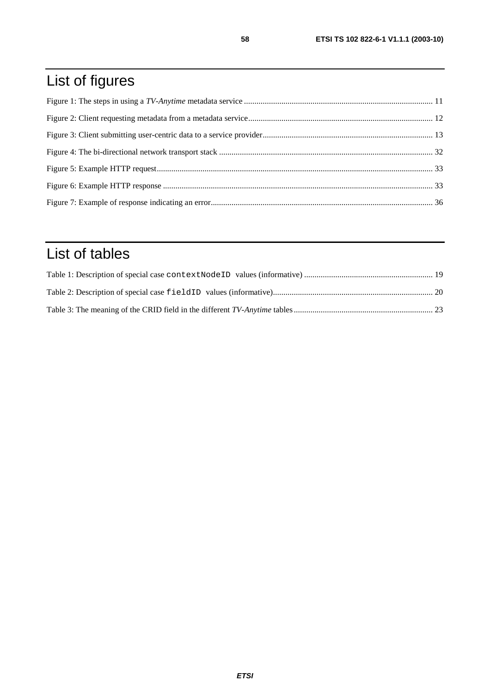## List of figures

## List of tables